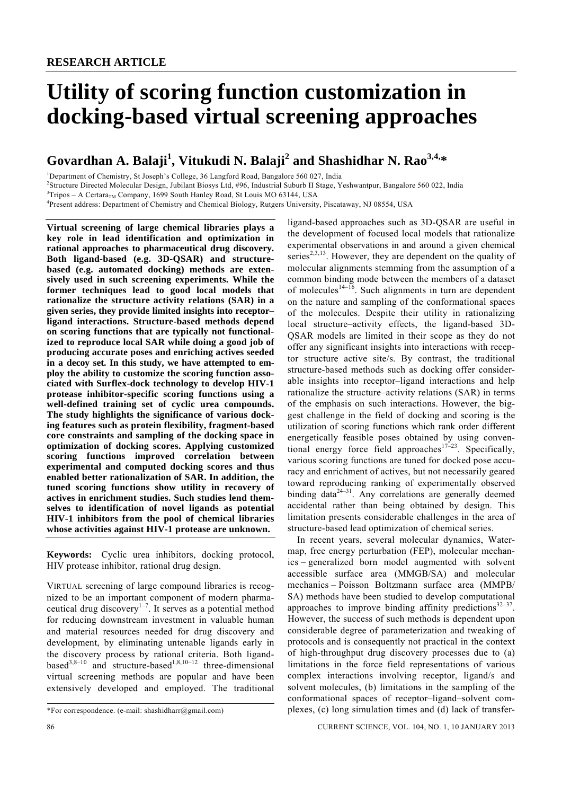# **Utility of scoring function customization in docking-based virtual screening approaches**

# **Govardhan A. Balaji<sup>1</sup> , Vitukudi N. Balaji<sup>2</sup> and Shashidhar N. Rao3,4,\***

<sup>1</sup>Department of Chemistry, St Joseph's College, 36 Langford Road, Bangalore 560 027, India

<sup>2</sup>Structure Directed Molecular Design, Jubilant Biosys Ltd, #96, Industrial Suburb II Stage, Yeshwantpur, Bangalore 560 022, India <sup>3</sup>Tripes A. Certars Company, 1600 South Haplay Bood, St Louis MO 63144, USA

 $3$ Tripos – A Certara<sub>TM</sub> Company, 1699 South Hanley Road, St Louis MO 63144, USA

Present address: Department of Chemistry and Chemical Biology, Rutgers University, Piscataway, NJ 08554, USA

**Virtual screening of large chemical libraries plays a key role in lead identification and optimization in rational approaches to pharmaceutical drug discovery. Both ligand-based (e.g. 3D-QSAR) and structurebased (e.g. automated docking) methods are extensively used in such screening experiments. While the former techniques lead to good local models that rationalize the structure activity relations (SAR) in a given series, they provide limited insights into receptor– ligand interactions. Structure-based methods depend on scoring functions that are typically not functionalized to reproduce local SAR while doing a good job of producing accurate poses and enriching actives seeded in a decoy set. In this study, we have attempted to employ the ability to customize the scoring function associated with Surflex-dock technology to develop HIV-1 protease inhibitor-specific scoring functions using a well-defined training set of cyclic urea compounds. The study highlights the significance of various docking features such as protein flexibility, fragment-based core constraints and sampling of the docking space in optimization of docking scores. Applying customized scoring functions improved correlation between experimental and computed docking scores and thus enabled better rationalization of SAR. In addition, the tuned scoring functions show utility in recovery of actives in enrichment studies. Such studies lend themselves to identification of novel ligands as potential HIV-1 inhibitors from the pool of chemical libraries whose activities against HIV-1 protease are unknown.** 

**Keywords:** Cyclic urea inhibitors, docking protocol, HIV protease inhibitor, rational drug design.

VIRTUAL screening of large compound libraries is recognized to be an important component of modern pharmaceutical drug discovery<sup>1-7</sup>. It serves as a potential method for reducing downstream investment in valuable human and material resources needed for drug discovery and development, by eliminating untenable ligands early in the discovery process by rational criteria. Both ligandbased<sup>3,8–10</sup> and structure-based<sup>1,8,10–12</sup> three-dimensional virtual screening methods are popular and have been extensively developed and employed. The traditional

ligand-based approaches such as 3D-QSAR are useful in the development of focused local models that rationalize experimental observations in and around a given chemical series<sup>2,3,13</sup>. However, they are dependent on the quality of molecular alignments stemming from the assumption of a common binding mode between the members of a dataset of molecules<sup>14–16</sup>. Such alignments in turn are dependent on the nature and sampling of the conformational spaces of the molecules. Despite their utility in rationalizing local structure–activity effects, the ligand-based 3D-QSAR models are limited in their scope as they do not offer any significant insights into interactions with receptor structure active site/s. By contrast, the traditional structure-based methods such as docking offer considerable insights into receptor–ligand interactions and help rationalize the structure–activity relations (SAR) in terms of the emphasis on such interactions. However, the biggest challenge in the field of docking and scoring is the utilization of scoring functions which rank order different energetically feasible poses obtained by using conventional energy force field approaches<sup>17–23</sup>. Specifically, various scoring functions are tuned for docked pose accuracy and enrichment of actives, but not necessarily geared toward reproducing ranking of experimentally observed binding data $2^{4-31}$ . Any correlations are generally deemed accidental rather than being obtained by design. This limitation presents considerable challenges in the area of structure-based lead optimization of chemical series.

 In recent years, several molecular dynamics, Watermap, free energy perturbation (FEP), molecular mechanics – generalized born model augmented with solvent accessible surface area (MMGB/SA) and molecular mechanics – Poisson Boltzmann surface area (MMPB/ SA) methods have been studied to develop computational approaches to improve binding affinity predictions  $32-37$ . However, the success of such methods is dependent upon considerable degree of parameterization and tweaking of protocols and is consequently not practical in the context of high-throughput drug discovery processes due to (a) limitations in the force field representations of various complex interactions involving receptor, ligand/s and solvent molecules, (b) limitations in the sampling of the conformational spaces of receptor–ligand–solvent complexes, (c) long simulation times and (d) lack of transfer-

86 CURRENT SCIENCE, VOL. 104, NO. 1, 10 JANUARY 2013

<sup>\*</sup>For correspondence. (e-mail: shashidharr@gmail.com)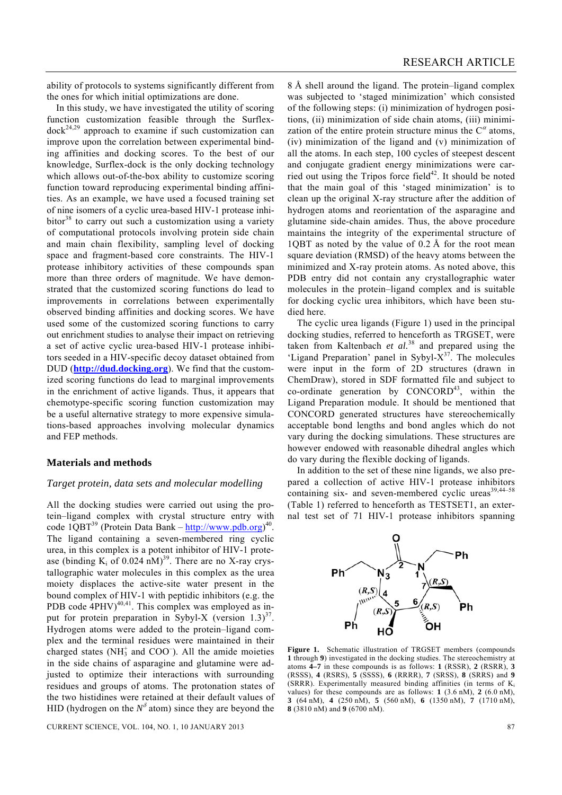ability of protocols to systems significantly different from the ones for which initial optimizations are done.

 In this study, we have investigated the utility of scoring function customization feasible through the Surflex $d\n\rm{ock}^{24,29}$  approach to examine if such customization can improve upon the correlation between experimental binding affinities and docking scores. To the best of our knowledge, Surflex-dock is the only docking technology which allows out-of-the-box ability to customize scoring function toward reproducing experimental binding affinities. As an example, we have used a focused training set of nine isomers of a cyclic urea-based HIV-1 protease inhibitor<sup>38</sup> to carry out such a customization using a variety of computational protocols involving protein side chain and main chain flexibility, sampling level of docking space and fragment-based core constraints. The HIV-1 protease inhibitory activities of these compounds span more than three orders of magnitude. We have demonstrated that the customized scoring functions do lead to improvements in correlations between experimentally observed binding affinities and docking scores. We have used some of the customized scoring functions to carry out enrichment studies to analyse their impact on retrieving a set of active cyclic urea-based HIV-1 protease inhibitors seeded in a HIV-specific decoy dataset obtained from DUD (**http://dud.docking.org**). We find that the customized scoring functions do lead to marginal improvements in the enrichment of active ligands. Thus, it appears that chemotype-specific scoring function customization may be a useful alternative strategy to more expensive simulations-based approaches involving molecular dynamics and FEP methods.

#### **Materials and methods**

#### *Target protein, data sets and molecular modelling*

All the docking studies were carried out using the protein–ligand complex with crystal structure entry with code  $1QBT^{39}$  (Protein Data Bank –  $\frac{http://www.pdb.org)}{40}$ . The ligand containing a seven-membered ring cyclic urea, in this complex is a potent inhibitor of HIV-1 protease (binding  $K_i$  of 0.024 nM)<sup>39</sup>. There are no X-ray crystallographic water molecules in this complex as the urea moiety displaces the active-site water present in the bound complex of HIV-1 with peptidic inhibitors (e.g. the PDB code  $4PHV)^{40,41}$ . This complex was employed as input for protein preparation in Sybyl-X (version  $1.3$ )<sup>37</sup>. Hydrogen atoms were added to the protein–ligand complex and the terminal residues were maintained in their charged states ( $NH_3^+$  and COO $^-$ ). All the amide moieties in the side chains of asparagine and glutamine were adjusted to optimize their interactions with surrounding residues and groups of atoms. The protonation states of the two histidines were retained at their default values of HID (hydrogen on the  $N^{\delta}$  atom) since they are beyond the

8 Å shell around the ligand. The protein–ligand complex was subjected to 'staged minimization' which consisted of the following steps: (i) minimization of hydrogen positions, (ii) minimization of side chain atoms, (iii) minimization of the entire protein structure minus the  $C^{\alpha}$  atoms, (iv) minimization of the ligand and (v) minimization of all the atoms. In each step, 100 cycles of steepest descent and conjugate gradient energy minimizations were carried out using the Tripos force field<sup>42</sup>. It should be noted that the main goal of this 'staged minimization' is to clean up the original X-ray structure after the addition of hydrogen atoms and reorientation of the asparagine and glutamine side-chain amides. Thus, the above procedure maintains the integrity of the experimental structure of 1QBT as noted by the value of 0.2 Å for the root mean square deviation (RMSD) of the heavy atoms between the minimized and X-ray protein atoms. As noted above, this PDB entry did not contain any crystallographic water molecules in the protein–ligand complex and is suitable for docking cyclic urea inhibitors, which have been studied here.

 The cyclic urea ligands (Figure 1) used in the principal docking studies, referred to henceforth as TRGSET, were taken from Kaltenbach *et al.*38 and prepared using the 'Ligand Preparation' panel in Sybyl- $X^{37}$ . The molecules were input in the form of 2D structures (drawn in ChemDraw), stored in SDF formatted file and subject to co-ordinate generation by  $CONCORD<sup>43</sup>$ , within the Ligand Preparation module. It should be mentioned that CONCORD generated structures have stereochemically acceptable bond lengths and bond angles which do not vary during the docking simulations. These structures are however endowed with reasonable dihedral angles which do vary during the flexible docking of ligands.

 In addition to the set of these nine ligands, we also prepared a collection of active HIV-1 protease inhibitors containing six- and seven-membered cyclic ureas $39,44-58$ (Table 1) referred to henceforth as TESTSET1, an external test set of 71 HIV-1 protease inhibitors spanning



Ph

**1** through **9**) investigated in the docking studies. The stereochemistry at atoms **4–7** in these compounds is as follows: **1** (RSSR), **2** (RSRR), **3** (RSSS), **4** (RSRS), **5** (SSSS), **6** (RRRR), **7** (SRSS), **8** (SRRS) and **9** (SRRR). Experimentally measured binding affinities (in terms of  $K_i$ ) values) for these compounds are as follows:  $1(3.6 \text{ nM})$ ,  $2(6.0 \text{ nM})$ , **3** (64 nM), **4** (250 nM), **5** (560 nM), **6** (1350 nM), **7** (1710 nM), **8** (3810 nM) and **9** (6700 nM).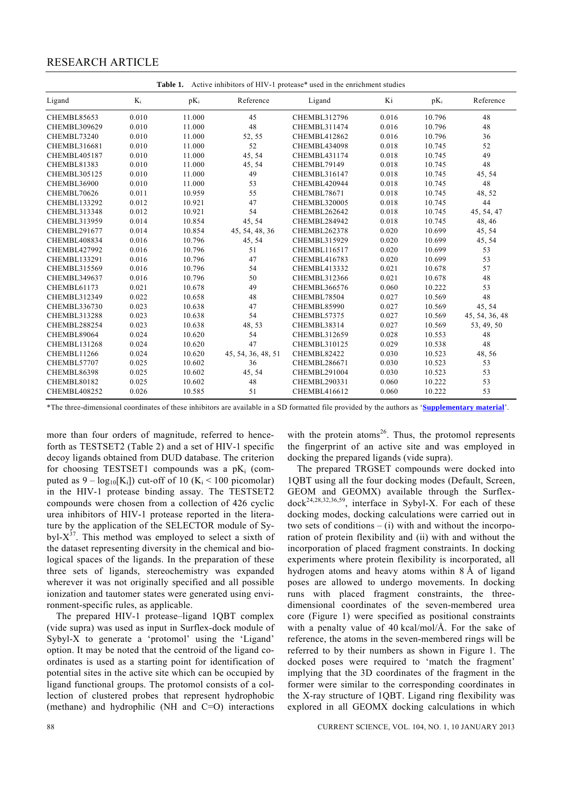| <b>Table 1.</b> Active inhibitors of $H[V-1]$ protease <sup>*</sup> used in the enrichment studies |       |        |                    |                     |       |        |                |  |  |  |
|----------------------------------------------------------------------------------------------------|-------|--------|--------------------|---------------------|-------|--------|----------------|--|--|--|
| $K_i$<br>Ligand                                                                                    |       | $pK_i$ | Reference          | Ligand              | Ki    | $pK_i$ | Reference      |  |  |  |
| CHEMBL85653                                                                                        | 0.010 | 11.000 | 45                 | <b>CHEMBL312796</b> | 0.016 | 10.796 | 48             |  |  |  |
| CHEMBL309629                                                                                       | 0.010 | 11.000 | 48                 | <b>CHEMBL311474</b> | 0.016 | 10.796 | 48             |  |  |  |
| CHEMBL73240                                                                                        | 0.010 | 11.000 | 52, 55             | CHEMBL412862        | 0.016 | 10.796 | 36             |  |  |  |
| CHEMBL316681                                                                                       | 0.010 | 11.000 | 52                 | CHEMBL434098        | 0.018 | 10.745 | 52             |  |  |  |
| CHEMBL405187                                                                                       | 0.010 | 11.000 | 45, 54             | CHEMBL431174        | 0.018 | 10.745 | 49             |  |  |  |
| CHEMBL81383                                                                                        | 0.010 | 11.000 | 45, 54             | CHEMBL79149         | 0.018 | 10.745 | 48             |  |  |  |
| <b>CHEMBL305125</b>                                                                                | 0.010 | 11.000 | 49                 | CHEMBL316147        | 0.018 | 10.745 | 45, 54         |  |  |  |
| CHEMBL36900                                                                                        | 0.010 | 11.000 | 53                 | CHEMBL420944        | 0.018 | 10.745 | 48             |  |  |  |
| CHEMBL70626                                                                                        | 0.011 | 10.959 | 55                 | CHEMBL78671         | 0.018 | 10.745 | 48, 52         |  |  |  |
| CHEMBL133292                                                                                       | 0.012 | 10.921 | 47                 | <b>CHEMBL320005</b> | 0.018 | 10.745 | 44             |  |  |  |
| <b>CHEMBL313348</b>                                                                                | 0.012 | 10.921 | 54                 | CHEMBL262642        | 0.018 | 10.745 | 45, 54, 47     |  |  |  |
| <b>CHEMBL313959</b>                                                                                | 0.014 | 10.854 | 45, 54             | CHEMBL284942        | 0.018 | 10.745 | 48, 46         |  |  |  |
| CHEMBL291677                                                                                       | 0.014 | 10.854 | 45, 54, 48, 36     | CHEMBL262378        | 0.020 | 10.699 | 45, 54         |  |  |  |
| CHEMBL408834                                                                                       | 0.016 | 10.796 | 45, 54             | <b>CHEMBL315929</b> | 0.020 | 10.699 | 45, 54         |  |  |  |
| CHEMBL427992                                                                                       | 0.016 | 10.796 | 51                 | <b>CHEMBL116517</b> | 0.020 | 10.699 | 53             |  |  |  |
| <b>CHEMBL133291</b>                                                                                | 0.016 | 10.796 | 47                 | CHEMBL416783        | 0.020 | 10.699 | 53             |  |  |  |
| CHEMBL315569                                                                                       | 0.016 | 10.796 | 54                 | CHEMBL413332        | 0.021 | 10.678 | 57             |  |  |  |
| CHEMBL349637                                                                                       | 0.016 | 10.796 | 50                 | <b>CHEMBL312366</b> | 0.021 | 10.678 | 48             |  |  |  |
| CHEMBL61173                                                                                        | 0.021 | 10.678 | 49                 | <b>CHEMBL366576</b> | 0.060 | 10.222 | 53             |  |  |  |
| <b>CHEMBL312349</b>                                                                                | 0.022 | 10.658 | 48                 | CHEMBL78504         | 0.027 | 10.569 | 48             |  |  |  |
| CHEMBL336730                                                                                       | 0.023 | 10.638 | 47                 | CHEMBL85990         | 0.027 | 10.569 | 45, 54         |  |  |  |
| <b>CHEMBL313288</b>                                                                                | 0.023 | 10.638 | 54                 | CHEMBL57375         | 0.027 | 10.569 | 45, 54, 36, 48 |  |  |  |
| CHEMBL288254                                                                                       | 0.023 | 10.638 | 48, 53             | CHEMBL38314         | 0.027 | 10.569 | 53, 49, 50     |  |  |  |
| CHEMBL89064                                                                                        | 0.024 | 10.620 | 54                 | CHEMBL312659        | 0.028 | 10.553 | 48             |  |  |  |
| <b>CHEMBL131268</b>                                                                                | 0.024 | 10.620 | 47                 | CHEMBL310125        | 0.029 | 10.538 | 48             |  |  |  |
| CHEMBL11266                                                                                        | 0.024 | 10.620 | 45, 54, 36, 48, 51 | CHEMBL82422         | 0.030 | 10.523 | 48,56          |  |  |  |
| CHEMBL57707                                                                                        | 0.025 | 10.602 | 36                 | <b>CHEMBL286671</b> | 0.030 | 10.523 | 53             |  |  |  |
| CHEMBL86398                                                                                        | 0.025 | 10.602 | 45, 54             | <b>CHEMBL291004</b> | 0.030 | 10.523 | 53             |  |  |  |
| CHEMBL80182                                                                                        | 0.025 | 10.602 | 48                 | <b>CHEMBL290331</b> | 0.060 | 10.222 | 53             |  |  |  |
| CHEMBL408252                                                                                       | 0.026 | 10.585 | 51                 | <b>CHEMBL416612</b> | 0.060 | 10.222 | 53             |  |  |  |

Table 1. Active inhibitors of HIV-1 protease\* used in the enrichment studies

\*The three-dimensional coordinates of these inhibitors are available in a SD formatted file provided by the authors as '**Supplementary material**'.

more than four orders of magnitude, referred to henceforth as TESTSET2 (Table 2) and a set of HIV-1 specific decoy ligands obtained from DUD database. The criterion for choosing TESTSET1 compounds was a  $pK_i$  (computed as  $9 - log_{10}[K_i]$ ) cut-off of 10 (K<sub>i</sub> < 100 picomolar) in the HIV-1 protease binding assay. The TESTSET2 compounds were chosen from a collection of 426 cyclic urea inhibitors of HIV-1 protease reported in the literature by the application of the SELECTOR module of Sybyl- $X^{37}$ . This method was employed to select a sixth of the dataset representing diversity in the chemical and biological spaces of the ligands. In the preparation of these three sets of ligands, stereochemistry was expanded wherever it was not originally specified and all possible ionization and tautomer states were generated using environment-specific rules, as applicable.

 The prepared HIV-1 protease–ligand 1QBT complex (vide supra) was used as input in Surflex-dock module of Sybyl-X to generate a 'protomol' using the 'Ligand' option. It may be noted that the centroid of the ligand coordinates is used as a starting point for identification of potential sites in the active site which can be occupied by ligand functional groups. The protomol consists of a collection of clustered probes that represent hydrophobic (methane) and hydrophilic (NH and C=O) interactions with the protein atoms $^{26}$ . Thus, the protomol represents the fingerprint of an active site and was employed in docking the prepared ligands (vide supra).

 The prepared TRGSET compounds were docked into 1QBT using all the four docking modes (Default, Screen, GEOM and GEOMX) available through the Surflex $dock^{24,28,32,36,59}$ , interface in Sybyl-X. For each of these docking modes, docking calculations were carried out in two sets of conditions  $-$  (i) with and without the incorporation of protein flexibility and (ii) with and without the incorporation of placed fragment constraints. In docking experiments where protein flexibility is incorporated, all hydrogen atoms and heavy atoms within 8 Å of ligand poses are allowed to undergo movements. In docking runs with placed fragment constraints, the threedimensional coordinates of the seven-membered urea core (Figure 1) were specified as positional constraints with a penalty value of 40 kcal/mol/Å. For the sake of reference, the atoms in the seven-membered rings will be referred to by their numbers as shown in Figure 1. The docked poses were required to 'match the fragment' implying that the 3D coordinates of the fragment in the former were similar to the corresponding coordinates in the X-ray structure of 1QBT. Ligand ring flexibility was explored in all GEOMX docking calculations in which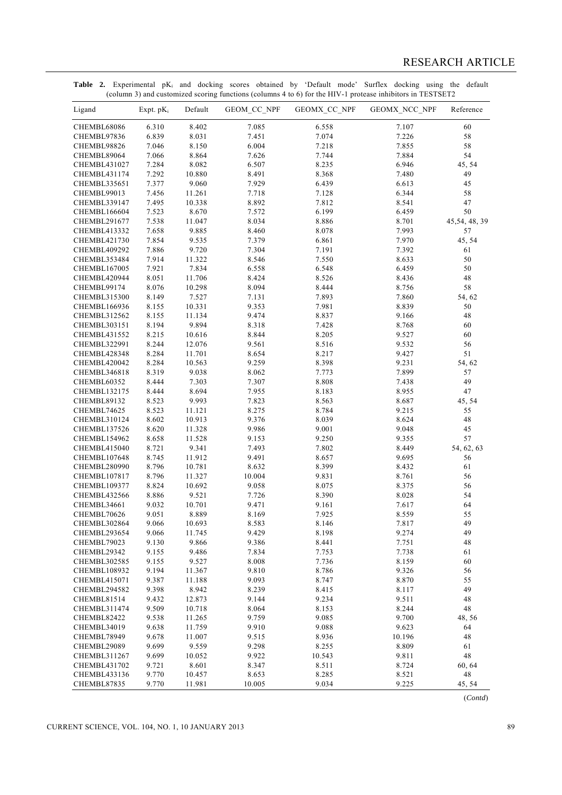| 8.402<br>6.310<br>7.085<br>60<br>CHEMBL68086<br>6.558<br>7.107<br>6.839<br>8.031<br>58<br>CHEMBL97836<br>7.451<br>7.074<br>7.226<br>7.046<br>58<br>8.150<br>6.004<br>7.218<br>7.855<br>CHEMBL98826<br>7.066<br>8.864<br>7.626<br>7.744<br>7.884<br>54<br>CHEMBL89064<br>7.284<br>8.082<br>6.507<br>8.235<br>6.946<br>45, 54<br>CHEMBL431027<br>49<br>7.292<br>10.880<br>8.491<br>8.368<br>7.480<br>CHEMBL431174<br>7.377<br>9.060<br>7.929<br>6.439<br>6.613<br><b>CHEMBL335651</b><br>45<br>7.456<br>11.261<br>7.718<br>7.128<br>6.344<br>58<br>CHEMBL99013<br>7.495<br>10.338<br>8.892<br>7.812<br>8.541<br>47<br><b>CHEMBL339147</b><br>7.523<br>8.670<br>7.572<br>6.199<br>6.459<br>50<br><b>CHEMBL166604</b><br>7.538<br>11.047<br>8.034<br>8.886<br>8.701<br>45,54, 48, 39<br><b>CHEMBL291677</b><br>7.658<br>9.885<br>8.460<br>8.078<br>7.993<br>57<br>CHEMBL413332<br>7.854<br>9.535<br>7.379<br>6.861<br>7.970<br>45, 54<br>CHEMBL421730<br>7.886<br>9.720<br>7.304<br>7.191<br>7.392<br>CHEMBL409292<br>61<br>7.914<br>11.322<br>8.546<br>7.550<br>8.633<br>50<br>CHEMBL353484<br>7.921<br>7.834<br>6.558<br>6.548<br>6.459<br>50<br>CHEMBL167005<br>8.051<br>11.706<br>8.424<br>8.526<br>8.436<br>48<br>CHEMBL420944<br>58<br>8.076<br>10.298<br>8.094<br>8.444<br>8.756<br>CHEMBL99174<br>8.149<br>7.527<br>7.893<br>7.860<br><b>CHEMBL315300</b><br>7.131<br>54, 62<br>8.155<br>10.331<br>9.353<br>7.981<br>8.839<br>50<br>CHEMBL166936<br>11.134<br>8.155<br>9.474<br>8.837<br>9.166<br>48<br><b>CHEMBL312562</b><br>9.894<br>8.194<br>8.318<br>7.428<br>8.768<br>CHEMBL303151<br>60<br>8.215<br>10.616<br>8.844<br>8.205<br>9.527<br>60<br><b>CHEMBL431552</b><br>8.244<br>12.076<br>9.561<br>8.516<br>9.532<br>56<br><b>CHEMBL322991</b><br>8.284<br>51<br>11.701<br>8.654<br>8.217<br>9.427<br>CHEMBL428348<br>8.284<br>10.563<br>9.259<br>8.398<br>9.231<br>54, 62<br>CHEMBL420042<br>8.319<br>9.038<br>8.062<br>7.773<br>7.899<br>57<br>CHEMBL346818<br>8.444<br>7.303<br>7.307<br>8.808<br>49<br>CHEMBL60352<br>7.438<br>8.444<br>8.694<br>7.955<br>8.183<br>8.955<br>47<br>CHEMBL132175<br>8.523<br>9.993<br>7.823<br>8.563<br>8.687<br>45, 54<br>CHEMBL89132<br>8.523<br>11.121<br>8.275<br>8.784<br>9.215<br>55<br>CHEMBL74625<br>8.602<br>10.913<br>9.376<br>8.039<br>8.624<br>48<br>CHEMBL310124<br>8.620<br>11.328<br>9.986<br>9.001<br>9.048<br>45<br>CHEMBL137526<br>8.658<br>11.528<br>9.153<br>9.250<br>9.355<br>57<br>CHEMBL154962<br>8.721<br>9.341<br>7.493<br>7.802<br>8.449<br>54, 62, 63<br>CHEMBL415040<br>8.745<br>11.912<br>9.491<br>9.695<br>56<br>CHEMBL107648<br>8.657<br>8.796<br>10.781<br>8.632<br>8.399<br>61<br>CHEMBL280990<br>8.432<br>8.796<br>11.327<br>10.004<br>9.831<br>8.761<br>56<br><b>CHEMBL107817</b><br>8.824<br>10.692<br>9.058<br>8.075<br>8.375<br>56<br><b>CHEMBL109377</b><br>8.886<br>9.521<br>7.726<br>8.390<br>8.028<br>54<br>CHEMBL432566<br>9.032<br>10.701<br>9.471<br>64<br>9.161<br>7.617<br>CHEMBL34661<br>55<br>9.051<br>8.889<br>7.925<br>8.559<br>CHEMBL70626<br>8.169<br>10.693<br>9.066<br>7.817<br>49<br>CHEMBL302864<br>8.583<br>8.146<br>CHEMBL293654<br>9.066<br>11.745<br>9.429<br>8.198<br>9.274<br>49<br>9.130<br>9.866<br>9.386<br>CHEMBL79023<br>8.441<br>7.751<br>48<br>9.486<br>7.834<br>CHEMBL29342<br>9.155<br>7.753<br>7.738<br>61<br>9.527<br>8.008<br>7.736<br>8.159<br>60<br><b>CHEMBL302585</b><br>9.155<br>9.194<br>9.810<br>8.786<br>9.326<br>56<br><b>CHEMBL108932</b><br>11.367<br><b>CHEMBL415071</b><br>9.387<br>9.093<br>8.747<br>8.870<br>55<br>11.188<br>9.398<br>8.942<br>8.239<br>8.117<br>49<br>CHEMBL294582<br>8.415<br>9.432<br>12.873<br>9.234<br>9.511<br>48<br>CHEMBL81514<br>9.144<br>9.509<br>8.153<br>8.244<br>48<br>CHEMBL311474<br>10.718<br>8.064<br>9.538<br>11.265<br>9.759<br>9.085<br>9.700<br>48, 56<br>CHEMBL82422<br>9.638<br>11.759<br>9.088<br>9.623<br>64<br>CHEMBL34019<br>9.910<br>9.678<br>9.515<br>8.936<br>10.196<br>48<br>CHEMBL78949<br>11.007<br>9.699<br>9.559<br>9.298<br>8.809<br>CHEMBL29089<br>8.255<br>61<br>48<br>9.699<br>10.543<br>CHEMBL311267<br>10.052<br>9.922<br>9.811<br>8.601<br>8.511<br>60, 64<br><b>CHEMBL431702</b><br>9.721<br>8.347<br>8.724<br>48<br>9.770<br>10.457<br>8.653<br>8.285<br>8.521<br>CHEMBL433136 | Ligand | Expt. $pK_i$ | Default | GEOM_CC_NPF | GEOMX_CC_NPF | GEOMX_NCC_NPF | Reference |
|----------------------------------------------------------------------------------------------------------------------------------------------------------------------------------------------------------------------------------------------------------------------------------------------------------------------------------------------------------------------------------------------------------------------------------------------------------------------------------------------------------------------------------------------------------------------------------------------------------------------------------------------------------------------------------------------------------------------------------------------------------------------------------------------------------------------------------------------------------------------------------------------------------------------------------------------------------------------------------------------------------------------------------------------------------------------------------------------------------------------------------------------------------------------------------------------------------------------------------------------------------------------------------------------------------------------------------------------------------------------------------------------------------------------------------------------------------------------------------------------------------------------------------------------------------------------------------------------------------------------------------------------------------------------------------------------------------------------------------------------------------------------------------------------------------------------------------------------------------------------------------------------------------------------------------------------------------------------------------------------------------------------------------------------------------------------------------------------------------------------------------------------------------------------------------------------------------------------------------------------------------------------------------------------------------------------------------------------------------------------------------------------------------------------------------------------------------------------------------------------------------------------------------------------------------------------------------------------------------------------------------------------------------------------------------------------------------------------------------------------------------------------------------------------------------------------------------------------------------------------------------------------------------------------------------------------------------------------------------------------------------------------------------------------------------------------------------------------------------------------------------------------------------------------------------------------------------------------------------------------------------------------------------------------------------------------------------------------------------------------------------------------------------------------------------------------------------------------------------------------------------------------------------------------------------------------------------------------------------------------------------------------------------------------------------------------------------------------------------------------------------------------------------------------------------------------------------------------------------------------------------------------------------------------------------------------------------------------------------------------------------------------------------------------------------------------------------------------------------------------------------------------------------------------------------------------------------------------------------------------------------------------------------|--------|--------------|---------|-------------|--------------|---------------|-----------|
|                                                                                                                                                                                                                                                                                                                                                                                                                                                                                                                                                                                                                                                                                                                                                                                                                                                                                                                                                                                                                                                                                                                                                                                                                                                                                                                                                                                                                                                                                                                                                                                                                                                                                                                                                                                                                                                                                                                                                                                                                                                                                                                                                                                                                                                                                                                                                                                                                                                                                                                                                                                                                                                                                                                                                                                                                                                                                                                                                                                                                                                                                                                                                                                                                                                                                                                                                                                                                                                                                                                                                                                                                                                                                                                                                                                                                                                                                                                                                                                                                                                                                                                                                                                                                                                                                  |        |              |         |             |              |               |           |
|                                                                                                                                                                                                                                                                                                                                                                                                                                                                                                                                                                                                                                                                                                                                                                                                                                                                                                                                                                                                                                                                                                                                                                                                                                                                                                                                                                                                                                                                                                                                                                                                                                                                                                                                                                                                                                                                                                                                                                                                                                                                                                                                                                                                                                                                                                                                                                                                                                                                                                                                                                                                                                                                                                                                                                                                                                                                                                                                                                                                                                                                                                                                                                                                                                                                                                                                                                                                                                                                                                                                                                                                                                                                                                                                                                                                                                                                                                                                                                                                                                                                                                                                                                                                                                                                                  |        |              |         |             |              |               |           |
|                                                                                                                                                                                                                                                                                                                                                                                                                                                                                                                                                                                                                                                                                                                                                                                                                                                                                                                                                                                                                                                                                                                                                                                                                                                                                                                                                                                                                                                                                                                                                                                                                                                                                                                                                                                                                                                                                                                                                                                                                                                                                                                                                                                                                                                                                                                                                                                                                                                                                                                                                                                                                                                                                                                                                                                                                                                                                                                                                                                                                                                                                                                                                                                                                                                                                                                                                                                                                                                                                                                                                                                                                                                                                                                                                                                                                                                                                                                                                                                                                                                                                                                                                                                                                                                                                  |        |              |         |             |              |               |           |
|                                                                                                                                                                                                                                                                                                                                                                                                                                                                                                                                                                                                                                                                                                                                                                                                                                                                                                                                                                                                                                                                                                                                                                                                                                                                                                                                                                                                                                                                                                                                                                                                                                                                                                                                                                                                                                                                                                                                                                                                                                                                                                                                                                                                                                                                                                                                                                                                                                                                                                                                                                                                                                                                                                                                                                                                                                                                                                                                                                                                                                                                                                                                                                                                                                                                                                                                                                                                                                                                                                                                                                                                                                                                                                                                                                                                                                                                                                                                                                                                                                                                                                                                                                                                                                                                                  |        |              |         |             |              |               |           |
|                                                                                                                                                                                                                                                                                                                                                                                                                                                                                                                                                                                                                                                                                                                                                                                                                                                                                                                                                                                                                                                                                                                                                                                                                                                                                                                                                                                                                                                                                                                                                                                                                                                                                                                                                                                                                                                                                                                                                                                                                                                                                                                                                                                                                                                                                                                                                                                                                                                                                                                                                                                                                                                                                                                                                                                                                                                                                                                                                                                                                                                                                                                                                                                                                                                                                                                                                                                                                                                                                                                                                                                                                                                                                                                                                                                                                                                                                                                                                                                                                                                                                                                                                                                                                                                                                  |        |              |         |             |              |               |           |
|                                                                                                                                                                                                                                                                                                                                                                                                                                                                                                                                                                                                                                                                                                                                                                                                                                                                                                                                                                                                                                                                                                                                                                                                                                                                                                                                                                                                                                                                                                                                                                                                                                                                                                                                                                                                                                                                                                                                                                                                                                                                                                                                                                                                                                                                                                                                                                                                                                                                                                                                                                                                                                                                                                                                                                                                                                                                                                                                                                                                                                                                                                                                                                                                                                                                                                                                                                                                                                                                                                                                                                                                                                                                                                                                                                                                                                                                                                                                                                                                                                                                                                                                                                                                                                                                                  |        |              |         |             |              |               |           |
|                                                                                                                                                                                                                                                                                                                                                                                                                                                                                                                                                                                                                                                                                                                                                                                                                                                                                                                                                                                                                                                                                                                                                                                                                                                                                                                                                                                                                                                                                                                                                                                                                                                                                                                                                                                                                                                                                                                                                                                                                                                                                                                                                                                                                                                                                                                                                                                                                                                                                                                                                                                                                                                                                                                                                                                                                                                                                                                                                                                                                                                                                                                                                                                                                                                                                                                                                                                                                                                                                                                                                                                                                                                                                                                                                                                                                                                                                                                                                                                                                                                                                                                                                                                                                                                                                  |        |              |         |             |              |               |           |
|                                                                                                                                                                                                                                                                                                                                                                                                                                                                                                                                                                                                                                                                                                                                                                                                                                                                                                                                                                                                                                                                                                                                                                                                                                                                                                                                                                                                                                                                                                                                                                                                                                                                                                                                                                                                                                                                                                                                                                                                                                                                                                                                                                                                                                                                                                                                                                                                                                                                                                                                                                                                                                                                                                                                                                                                                                                                                                                                                                                                                                                                                                                                                                                                                                                                                                                                                                                                                                                                                                                                                                                                                                                                                                                                                                                                                                                                                                                                                                                                                                                                                                                                                                                                                                                                                  |        |              |         |             |              |               |           |
|                                                                                                                                                                                                                                                                                                                                                                                                                                                                                                                                                                                                                                                                                                                                                                                                                                                                                                                                                                                                                                                                                                                                                                                                                                                                                                                                                                                                                                                                                                                                                                                                                                                                                                                                                                                                                                                                                                                                                                                                                                                                                                                                                                                                                                                                                                                                                                                                                                                                                                                                                                                                                                                                                                                                                                                                                                                                                                                                                                                                                                                                                                                                                                                                                                                                                                                                                                                                                                                                                                                                                                                                                                                                                                                                                                                                                                                                                                                                                                                                                                                                                                                                                                                                                                                                                  |        |              |         |             |              |               |           |
|                                                                                                                                                                                                                                                                                                                                                                                                                                                                                                                                                                                                                                                                                                                                                                                                                                                                                                                                                                                                                                                                                                                                                                                                                                                                                                                                                                                                                                                                                                                                                                                                                                                                                                                                                                                                                                                                                                                                                                                                                                                                                                                                                                                                                                                                                                                                                                                                                                                                                                                                                                                                                                                                                                                                                                                                                                                                                                                                                                                                                                                                                                                                                                                                                                                                                                                                                                                                                                                                                                                                                                                                                                                                                                                                                                                                                                                                                                                                                                                                                                                                                                                                                                                                                                                                                  |        |              |         |             |              |               |           |
|                                                                                                                                                                                                                                                                                                                                                                                                                                                                                                                                                                                                                                                                                                                                                                                                                                                                                                                                                                                                                                                                                                                                                                                                                                                                                                                                                                                                                                                                                                                                                                                                                                                                                                                                                                                                                                                                                                                                                                                                                                                                                                                                                                                                                                                                                                                                                                                                                                                                                                                                                                                                                                                                                                                                                                                                                                                                                                                                                                                                                                                                                                                                                                                                                                                                                                                                                                                                                                                                                                                                                                                                                                                                                                                                                                                                                                                                                                                                                                                                                                                                                                                                                                                                                                                                                  |        |              |         |             |              |               |           |
|                                                                                                                                                                                                                                                                                                                                                                                                                                                                                                                                                                                                                                                                                                                                                                                                                                                                                                                                                                                                                                                                                                                                                                                                                                                                                                                                                                                                                                                                                                                                                                                                                                                                                                                                                                                                                                                                                                                                                                                                                                                                                                                                                                                                                                                                                                                                                                                                                                                                                                                                                                                                                                                                                                                                                                                                                                                                                                                                                                                                                                                                                                                                                                                                                                                                                                                                                                                                                                                                                                                                                                                                                                                                                                                                                                                                                                                                                                                                                                                                                                                                                                                                                                                                                                                                                  |        |              |         |             |              |               |           |
|                                                                                                                                                                                                                                                                                                                                                                                                                                                                                                                                                                                                                                                                                                                                                                                                                                                                                                                                                                                                                                                                                                                                                                                                                                                                                                                                                                                                                                                                                                                                                                                                                                                                                                                                                                                                                                                                                                                                                                                                                                                                                                                                                                                                                                                                                                                                                                                                                                                                                                                                                                                                                                                                                                                                                                                                                                                                                                                                                                                                                                                                                                                                                                                                                                                                                                                                                                                                                                                                                                                                                                                                                                                                                                                                                                                                                                                                                                                                                                                                                                                                                                                                                                                                                                                                                  |        |              |         |             |              |               |           |
|                                                                                                                                                                                                                                                                                                                                                                                                                                                                                                                                                                                                                                                                                                                                                                                                                                                                                                                                                                                                                                                                                                                                                                                                                                                                                                                                                                                                                                                                                                                                                                                                                                                                                                                                                                                                                                                                                                                                                                                                                                                                                                                                                                                                                                                                                                                                                                                                                                                                                                                                                                                                                                                                                                                                                                                                                                                                                                                                                                                                                                                                                                                                                                                                                                                                                                                                                                                                                                                                                                                                                                                                                                                                                                                                                                                                                                                                                                                                                                                                                                                                                                                                                                                                                                                                                  |        |              |         |             |              |               |           |
|                                                                                                                                                                                                                                                                                                                                                                                                                                                                                                                                                                                                                                                                                                                                                                                                                                                                                                                                                                                                                                                                                                                                                                                                                                                                                                                                                                                                                                                                                                                                                                                                                                                                                                                                                                                                                                                                                                                                                                                                                                                                                                                                                                                                                                                                                                                                                                                                                                                                                                                                                                                                                                                                                                                                                                                                                                                                                                                                                                                                                                                                                                                                                                                                                                                                                                                                                                                                                                                                                                                                                                                                                                                                                                                                                                                                                                                                                                                                                                                                                                                                                                                                                                                                                                                                                  |        |              |         |             |              |               |           |
|                                                                                                                                                                                                                                                                                                                                                                                                                                                                                                                                                                                                                                                                                                                                                                                                                                                                                                                                                                                                                                                                                                                                                                                                                                                                                                                                                                                                                                                                                                                                                                                                                                                                                                                                                                                                                                                                                                                                                                                                                                                                                                                                                                                                                                                                                                                                                                                                                                                                                                                                                                                                                                                                                                                                                                                                                                                                                                                                                                                                                                                                                                                                                                                                                                                                                                                                                                                                                                                                                                                                                                                                                                                                                                                                                                                                                                                                                                                                                                                                                                                                                                                                                                                                                                                                                  |        |              |         |             |              |               |           |
|                                                                                                                                                                                                                                                                                                                                                                                                                                                                                                                                                                                                                                                                                                                                                                                                                                                                                                                                                                                                                                                                                                                                                                                                                                                                                                                                                                                                                                                                                                                                                                                                                                                                                                                                                                                                                                                                                                                                                                                                                                                                                                                                                                                                                                                                                                                                                                                                                                                                                                                                                                                                                                                                                                                                                                                                                                                                                                                                                                                                                                                                                                                                                                                                                                                                                                                                                                                                                                                                                                                                                                                                                                                                                                                                                                                                                                                                                                                                                                                                                                                                                                                                                                                                                                                                                  |        |              |         |             |              |               |           |
|                                                                                                                                                                                                                                                                                                                                                                                                                                                                                                                                                                                                                                                                                                                                                                                                                                                                                                                                                                                                                                                                                                                                                                                                                                                                                                                                                                                                                                                                                                                                                                                                                                                                                                                                                                                                                                                                                                                                                                                                                                                                                                                                                                                                                                                                                                                                                                                                                                                                                                                                                                                                                                                                                                                                                                                                                                                                                                                                                                                                                                                                                                                                                                                                                                                                                                                                                                                                                                                                                                                                                                                                                                                                                                                                                                                                                                                                                                                                                                                                                                                                                                                                                                                                                                                                                  |        |              |         |             |              |               |           |
|                                                                                                                                                                                                                                                                                                                                                                                                                                                                                                                                                                                                                                                                                                                                                                                                                                                                                                                                                                                                                                                                                                                                                                                                                                                                                                                                                                                                                                                                                                                                                                                                                                                                                                                                                                                                                                                                                                                                                                                                                                                                                                                                                                                                                                                                                                                                                                                                                                                                                                                                                                                                                                                                                                                                                                                                                                                                                                                                                                                                                                                                                                                                                                                                                                                                                                                                                                                                                                                                                                                                                                                                                                                                                                                                                                                                                                                                                                                                                                                                                                                                                                                                                                                                                                                                                  |        |              |         |             |              |               |           |
|                                                                                                                                                                                                                                                                                                                                                                                                                                                                                                                                                                                                                                                                                                                                                                                                                                                                                                                                                                                                                                                                                                                                                                                                                                                                                                                                                                                                                                                                                                                                                                                                                                                                                                                                                                                                                                                                                                                                                                                                                                                                                                                                                                                                                                                                                                                                                                                                                                                                                                                                                                                                                                                                                                                                                                                                                                                                                                                                                                                                                                                                                                                                                                                                                                                                                                                                                                                                                                                                                                                                                                                                                                                                                                                                                                                                                                                                                                                                                                                                                                                                                                                                                                                                                                                                                  |        |              |         |             |              |               |           |
|                                                                                                                                                                                                                                                                                                                                                                                                                                                                                                                                                                                                                                                                                                                                                                                                                                                                                                                                                                                                                                                                                                                                                                                                                                                                                                                                                                                                                                                                                                                                                                                                                                                                                                                                                                                                                                                                                                                                                                                                                                                                                                                                                                                                                                                                                                                                                                                                                                                                                                                                                                                                                                                                                                                                                                                                                                                                                                                                                                                                                                                                                                                                                                                                                                                                                                                                                                                                                                                                                                                                                                                                                                                                                                                                                                                                                                                                                                                                                                                                                                                                                                                                                                                                                                                                                  |        |              |         |             |              |               |           |
|                                                                                                                                                                                                                                                                                                                                                                                                                                                                                                                                                                                                                                                                                                                                                                                                                                                                                                                                                                                                                                                                                                                                                                                                                                                                                                                                                                                                                                                                                                                                                                                                                                                                                                                                                                                                                                                                                                                                                                                                                                                                                                                                                                                                                                                                                                                                                                                                                                                                                                                                                                                                                                                                                                                                                                                                                                                                                                                                                                                                                                                                                                                                                                                                                                                                                                                                                                                                                                                                                                                                                                                                                                                                                                                                                                                                                                                                                                                                                                                                                                                                                                                                                                                                                                                                                  |        |              |         |             |              |               |           |
|                                                                                                                                                                                                                                                                                                                                                                                                                                                                                                                                                                                                                                                                                                                                                                                                                                                                                                                                                                                                                                                                                                                                                                                                                                                                                                                                                                                                                                                                                                                                                                                                                                                                                                                                                                                                                                                                                                                                                                                                                                                                                                                                                                                                                                                                                                                                                                                                                                                                                                                                                                                                                                                                                                                                                                                                                                                                                                                                                                                                                                                                                                                                                                                                                                                                                                                                                                                                                                                                                                                                                                                                                                                                                                                                                                                                                                                                                                                                                                                                                                                                                                                                                                                                                                                                                  |        |              |         |             |              |               |           |
|                                                                                                                                                                                                                                                                                                                                                                                                                                                                                                                                                                                                                                                                                                                                                                                                                                                                                                                                                                                                                                                                                                                                                                                                                                                                                                                                                                                                                                                                                                                                                                                                                                                                                                                                                                                                                                                                                                                                                                                                                                                                                                                                                                                                                                                                                                                                                                                                                                                                                                                                                                                                                                                                                                                                                                                                                                                                                                                                                                                                                                                                                                                                                                                                                                                                                                                                                                                                                                                                                                                                                                                                                                                                                                                                                                                                                                                                                                                                                                                                                                                                                                                                                                                                                                                                                  |        |              |         |             |              |               |           |
|                                                                                                                                                                                                                                                                                                                                                                                                                                                                                                                                                                                                                                                                                                                                                                                                                                                                                                                                                                                                                                                                                                                                                                                                                                                                                                                                                                                                                                                                                                                                                                                                                                                                                                                                                                                                                                                                                                                                                                                                                                                                                                                                                                                                                                                                                                                                                                                                                                                                                                                                                                                                                                                                                                                                                                                                                                                                                                                                                                                                                                                                                                                                                                                                                                                                                                                                                                                                                                                                                                                                                                                                                                                                                                                                                                                                                                                                                                                                                                                                                                                                                                                                                                                                                                                                                  |        |              |         |             |              |               |           |
|                                                                                                                                                                                                                                                                                                                                                                                                                                                                                                                                                                                                                                                                                                                                                                                                                                                                                                                                                                                                                                                                                                                                                                                                                                                                                                                                                                                                                                                                                                                                                                                                                                                                                                                                                                                                                                                                                                                                                                                                                                                                                                                                                                                                                                                                                                                                                                                                                                                                                                                                                                                                                                                                                                                                                                                                                                                                                                                                                                                                                                                                                                                                                                                                                                                                                                                                                                                                                                                                                                                                                                                                                                                                                                                                                                                                                                                                                                                                                                                                                                                                                                                                                                                                                                                                                  |        |              |         |             |              |               |           |
|                                                                                                                                                                                                                                                                                                                                                                                                                                                                                                                                                                                                                                                                                                                                                                                                                                                                                                                                                                                                                                                                                                                                                                                                                                                                                                                                                                                                                                                                                                                                                                                                                                                                                                                                                                                                                                                                                                                                                                                                                                                                                                                                                                                                                                                                                                                                                                                                                                                                                                                                                                                                                                                                                                                                                                                                                                                                                                                                                                                                                                                                                                                                                                                                                                                                                                                                                                                                                                                                                                                                                                                                                                                                                                                                                                                                                                                                                                                                                                                                                                                                                                                                                                                                                                                                                  |        |              |         |             |              |               |           |
|                                                                                                                                                                                                                                                                                                                                                                                                                                                                                                                                                                                                                                                                                                                                                                                                                                                                                                                                                                                                                                                                                                                                                                                                                                                                                                                                                                                                                                                                                                                                                                                                                                                                                                                                                                                                                                                                                                                                                                                                                                                                                                                                                                                                                                                                                                                                                                                                                                                                                                                                                                                                                                                                                                                                                                                                                                                                                                                                                                                                                                                                                                                                                                                                                                                                                                                                                                                                                                                                                                                                                                                                                                                                                                                                                                                                                                                                                                                                                                                                                                                                                                                                                                                                                                                                                  |        |              |         |             |              |               |           |
|                                                                                                                                                                                                                                                                                                                                                                                                                                                                                                                                                                                                                                                                                                                                                                                                                                                                                                                                                                                                                                                                                                                                                                                                                                                                                                                                                                                                                                                                                                                                                                                                                                                                                                                                                                                                                                                                                                                                                                                                                                                                                                                                                                                                                                                                                                                                                                                                                                                                                                                                                                                                                                                                                                                                                                                                                                                                                                                                                                                                                                                                                                                                                                                                                                                                                                                                                                                                                                                                                                                                                                                                                                                                                                                                                                                                                                                                                                                                                                                                                                                                                                                                                                                                                                                                                  |        |              |         |             |              |               |           |
|                                                                                                                                                                                                                                                                                                                                                                                                                                                                                                                                                                                                                                                                                                                                                                                                                                                                                                                                                                                                                                                                                                                                                                                                                                                                                                                                                                                                                                                                                                                                                                                                                                                                                                                                                                                                                                                                                                                                                                                                                                                                                                                                                                                                                                                                                                                                                                                                                                                                                                                                                                                                                                                                                                                                                                                                                                                                                                                                                                                                                                                                                                                                                                                                                                                                                                                                                                                                                                                                                                                                                                                                                                                                                                                                                                                                                                                                                                                                                                                                                                                                                                                                                                                                                                                                                  |        |              |         |             |              |               |           |
|                                                                                                                                                                                                                                                                                                                                                                                                                                                                                                                                                                                                                                                                                                                                                                                                                                                                                                                                                                                                                                                                                                                                                                                                                                                                                                                                                                                                                                                                                                                                                                                                                                                                                                                                                                                                                                                                                                                                                                                                                                                                                                                                                                                                                                                                                                                                                                                                                                                                                                                                                                                                                                                                                                                                                                                                                                                                                                                                                                                                                                                                                                                                                                                                                                                                                                                                                                                                                                                                                                                                                                                                                                                                                                                                                                                                                                                                                                                                                                                                                                                                                                                                                                                                                                                                                  |        |              |         |             |              |               |           |
|                                                                                                                                                                                                                                                                                                                                                                                                                                                                                                                                                                                                                                                                                                                                                                                                                                                                                                                                                                                                                                                                                                                                                                                                                                                                                                                                                                                                                                                                                                                                                                                                                                                                                                                                                                                                                                                                                                                                                                                                                                                                                                                                                                                                                                                                                                                                                                                                                                                                                                                                                                                                                                                                                                                                                                                                                                                                                                                                                                                                                                                                                                                                                                                                                                                                                                                                                                                                                                                                                                                                                                                                                                                                                                                                                                                                                                                                                                                                                                                                                                                                                                                                                                                                                                                                                  |        |              |         |             |              |               |           |
|                                                                                                                                                                                                                                                                                                                                                                                                                                                                                                                                                                                                                                                                                                                                                                                                                                                                                                                                                                                                                                                                                                                                                                                                                                                                                                                                                                                                                                                                                                                                                                                                                                                                                                                                                                                                                                                                                                                                                                                                                                                                                                                                                                                                                                                                                                                                                                                                                                                                                                                                                                                                                                                                                                                                                                                                                                                                                                                                                                                                                                                                                                                                                                                                                                                                                                                                                                                                                                                                                                                                                                                                                                                                                                                                                                                                                                                                                                                                                                                                                                                                                                                                                                                                                                                                                  |        |              |         |             |              |               |           |
|                                                                                                                                                                                                                                                                                                                                                                                                                                                                                                                                                                                                                                                                                                                                                                                                                                                                                                                                                                                                                                                                                                                                                                                                                                                                                                                                                                                                                                                                                                                                                                                                                                                                                                                                                                                                                                                                                                                                                                                                                                                                                                                                                                                                                                                                                                                                                                                                                                                                                                                                                                                                                                                                                                                                                                                                                                                                                                                                                                                                                                                                                                                                                                                                                                                                                                                                                                                                                                                                                                                                                                                                                                                                                                                                                                                                                                                                                                                                                                                                                                                                                                                                                                                                                                                                                  |        |              |         |             |              |               |           |
|                                                                                                                                                                                                                                                                                                                                                                                                                                                                                                                                                                                                                                                                                                                                                                                                                                                                                                                                                                                                                                                                                                                                                                                                                                                                                                                                                                                                                                                                                                                                                                                                                                                                                                                                                                                                                                                                                                                                                                                                                                                                                                                                                                                                                                                                                                                                                                                                                                                                                                                                                                                                                                                                                                                                                                                                                                                                                                                                                                                                                                                                                                                                                                                                                                                                                                                                                                                                                                                                                                                                                                                                                                                                                                                                                                                                                                                                                                                                                                                                                                                                                                                                                                                                                                                                                  |        |              |         |             |              |               |           |
|                                                                                                                                                                                                                                                                                                                                                                                                                                                                                                                                                                                                                                                                                                                                                                                                                                                                                                                                                                                                                                                                                                                                                                                                                                                                                                                                                                                                                                                                                                                                                                                                                                                                                                                                                                                                                                                                                                                                                                                                                                                                                                                                                                                                                                                                                                                                                                                                                                                                                                                                                                                                                                                                                                                                                                                                                                                                                                                                                                                                                                                                                                                                                                                                                                                                                                                                                                                                                                                                                                                                                                                                                                                                                                                                                                                                                                                                                                                                                                                                                                                                                                                                                                                                                                                                                  |        |              |         |             |              |               |           |
|                                                                                                                                                                                                                                                                                                                                                                                                                                                                                                                                                                                                                                                                                                                                                                                                                                                                                                                                                                                                                                                                                                                                                                                                                                                                                                                                                                                                                                                                                                                                                                                                                                                                                                                                                                                                                                                                                                                                                                                                                                                                                                                                                                                                                                                                                                                                                                                                                                                                                                                                                                                                                                                                                                                                                                                                                                                                                                                                                                                                                                                                                                                                                                                                                                                                                                                                                                                                                                                                                                                                                                                                                                                                                                                                                                                                                                                                                                                                                                                                                                                                                                                                                                                                                                                                                  |        |              |         |             |              |               |           |
|                                                                                                                                                                                                                                                                                                                                                                                                                                                                                                                                                                                                                                                                                                                                                                                                                                                                                                                                                                                                                                                                                                                                                                                                                                                                                                                                                                                                                                                                                                                                                                                                                                                                                                                                                                                                                                                                                                                                                                                                                                                                                                                                                                                                                                                                                                                                                                                                                                                                                                                                                                                                                                                                                                                                                                                                                                                                                                                                                                                                                                                                                                                                                                                                                                                                                                                                                                                                                                                                                                                                                                                                                                                                                                                                                                                                                                                                                                                                                                                                                                                                                                                                                                                                                                                                                  |        |              |         |             |              |               |           |
|                                                                                                                                                                                                                                                                                                                                                                                                                                                                                                                                                                                                                                                                                                                                                                                                                                                                                                                                                                                                                                                                                                                                                                                                                                                                                                                                                                                                                                                                                                                                                                                                                                                                                                                                                                                                                                                                                                                                                                                                                                                                                                                                                                                                                                                                                                                                                                                                                                                                                                                                                                                                                                                                                                                                                                                                                                                                                                                                                                                                                                                                                                                                                                                                                                                                                                                                                                                                                                                                                                                                                                                                                                                                                                                                                                                                                                                                                                                                                                                                                                                                                                                                                                                                                                                                                  |        |              |         |             |              |               |           |
|                                                                                                                                                                                                                                                                                                                                                                                                                                                                                                                                                                                                                                                                                                                                                                                                                                                                                                                                                                                                                                                                                                                                                                                                                                                                                                                                                                                                                                                                                                                                                                                                                                                                                                                                                                                                                                                                                                                                                                                                                                                                                                                                                                                                                                                                                                                                                                                                                                                                                                                                                                                                                                                                                                                                                                                                                                                                                                                                                                                                                                                                                                                                                                                                                                                                                                                                                                                                                                                                                                                                                                                                                                                                                                                                                                                                                                                                                                                                                                                                                                                                                                                                                                                                                                                                                  |        |              |         |             |              |               |           |
|                                                                                                                                                                                                                                                                                                                                                                                                                                                                                                                                                                                                                                                                                                                                                                                                                                                                                                                                                                                                                                                                                                                                                                                                                                                                                                                                                                                                                                                                                                                                                                                                                                                                                                                                                                                                                                                                                                                                                                                                                                                                                                                                                                                                                                                                                                                                                                                                                                                                                                                                                                                                                                                                                                                                                                                                                                                                                                                                                                                                                                                                                                                                                                                                                                                                                                                                                                                                                                                                                                                                                                                                                                                                                                                                                                                                                                                                                                                                                                                                                                                                                                                                                                                                                                                                                  |        |              |         |             |              |               |           |
|                                                                                                                                                                                                                                                                                                                                                                                                                                                                                                                                                                                                                                                                                                                                                                                                                                                                                                                                                                                                                                                                                                                                                                                                                                                                                                                                                                                                                                                                                                                                                                                                                                                                                                                                                                                                                                                                                                                                                                                                                                                                                                                                                                                                                                                                                                                                                                                                                                                                                                                                                                                                                                                                                                                                                                                                                                                                                                                                                                                                                                                                                                                                                                                                                                                                                                                                                                                                                                                                                                                                                                                                                                                                                                                                                                                                                                                                                                                                                                                                                                                                                                                                                                                                                                                                                  |        |              |         |             |              |               |           |
|                                                                                                                                                                                                                                                                                                                                                                                                                                                                                                                                                                                                                                                                                                                                                                                                                                                                                                                                                                                                                                                                                                                                                                                                                                                                                                                                                                                                                                                                                                                                                                                                                                                                                                                                                                                                                                                                                                                                                                                                                                                                                                                                                                                                                                                                                                                                                                                                                                                                                                                                                                                                                                                                                                                                                                                                                                                                                                                                                                                                                                                                                                                                                                                                                                                                                                                                                                                                                                                                                                                                                                                                                                                                                                                                                                                                                                                                                                                                                                                                                                                                                                                                                                                                                                                                                  |        |              |         |             |              |               |           |
|                                                                                                                                                                                                                                                                                                                                                                                                                                                                                                                                                                                                                                                                                                                                                                                                                                                                                                                                                                                                                                                                                                                                                                                                                                                                                                                                                                                                                                                                                                                                                                                                                                                                                                                                                                                                                                                                                                                                                                                                                                                                                                                                                                                                                                                                                                                                                                                                                                                                                                                                                                                                                                                                                                                                                                                                                                                                                                                                                                                                                                                                                                                                                                                                                                                                                                                                                                                                                                                                                                                                                                                                                                                                                                                                                                                                                                                                                                                                                                                                                                                                                                                                                                                                                                                                                  |        |              |         |             |              |               |           |
|                                                                                                                                                                                                                                                                                                                                                                                                                                                                                                                                                                                                                                                                                                                                                                                                                                                                                                                                                                                                                                                                                                                                                                                                                                                                                                                                                                                                                                                                                                                                                                                                                                                                                                                                                                                                                                                                                                                                                                                                                                                                                                                                                                                                                                                                                                                                                                                                                                                                                                                                                                                                                                                                                                                                                                                                                                                                                                                                                                                                                                                                                                                                                                                                                                                                                                                                                                                                                                                                                                                                                                                                                                                                                                                                                                                                                                                                                                                                                                                                                                                                                                                                                                                                                                                                                  |        |              |         |             |              |               |           |
|                                                                                                                                                                                                                                                                                                                                                                                                                                                                                                                                                                                                                                                                                                                                                                                                                                                                                                                                                                                                                                                                                                                                                                                                                                                                                                                                                                                                                                                                                                                                                                                                                                                                                                                                                                                                                                                                                                                                                                                                                                                                                                                                                                                                                                                                                                                                                                                                                                                                                                                                                                                                                                                                                                                                                                                                                                                                                                                                                                                                                                                                                                                                                                                                                                                                                                                                                                                                                                                                                                                                                                                                                                                                                                                                                                                                                                                                                                                                                                                                                                                                                                                                                                                                                                                                                  |        |              |         |             |              |               |           |
|                                                                                                                                                                                                                                                                                                                                                                                                                                                                                                                                                                                                                                                                                                                                                                                                                                                                                                                                                                                                                                                                                                                                                                                                                                                                                                                                                                                                                                                                                                                                                                                                                                                                                                                                                                                                                                                                                                                                                                                                                                                                                                                                                                                                                                                                                                                                                                                                                                                                                                                                                                                                                                                                                                                                                                                                                                                                                                                                                                                                                                                                                                                                                                                                                                                                                                                                                                                                                                                                                                                                                                                                                                                                                                                                                                                                                                                                                                                                                                                                                                                                                                                                                                                                                                                                                  |        |              |         |             |              |               |           |
|                                                                                                                                                                                                                                                                                                                                                                                                                                                                                                                                                                                                                                                                                                                                                                                                                                                                                                                                                                                                                                                                                                                                                                                                                                                                                                                                                                                                                                                                                                                                                                                                                                                                                                                                                                                                                                                                                                                                                                                                                                                                                                                                                                                                                                                                                                                                                                                                                                                                                                                                                                                                                                                                                                                                                                                                                                                                                                                                                                                                                                                                                                                                                                                                                                                                                                                                                                                                                                                                                                                                                                                                                                                                                                                                                                                                                                                                                                                                                                                                                                                                                                                                                                                                                                                                                  |        |              |         |             |              |               |           |
|                                                                                                                                                                                                                                                                                                                                                                                                                                                                                                                                                                                                                                                                                                                                                                                                                                                                                                                                                                                                                                                                                                                                                                                                                                                                                                                                                                                                                                                                                                                                                                                                                                                                                                                                                                                                                                                                                                                                                                                                                                                                                                                                                                                                                                                                                                                                                                                                                                                                                                                                                                                                                                                                                                                                                                                                                                                                                                                                                                                                                                                                                                                                                                                                                                                                                                                                                                                                                                                                                                                                                                                                                                                                                                                                                                                                                                                                                                                                                                                                                                                                                                                                                                                                                                                                                  |        |              |         |             |              |               |           |
|                                                                                                                                                                                                                                                                                                                                                                                                                                                                                                                                                                                                                                                                                                                                                                                                                                                                                                                                                                                                                                                                                                                                                                                                                                                                                                                                                                                                                                                                                                                                                                                                                                                                                                                                                                                                                                                                                                                                                                                                                                                                                                                                                                                                                                                                                                                                                                                                                                                                                                                                                                                                                                                                                                                                                                                                                                                                                                                                                                                                                                                                                                                                                                                                                                                                                                                                                                                                                                                                                                                                                                                                                                                                                                                                                                                                                                                                                                                                                                                                                                                                                                                                                                                                                                                                                  |        |              |         |             |              |               |           |
|                                                                                                                                                                                                                                                                                                                                                                                                                                                                                                                                                                                                                                                                                                                                                                                                                                                                                                                                                                                                                                                                                                                                                                                                                                                                                                                                                                                                                                                                                                                                                                                                                                                                                                                                                                                                                                                                                                                                                                                                                                                                                                                                                                                                                                                                                                                                                                                                                                                                                                                                                                                                                                                                                                                                                                                                                                                                                                                                                                                                                                                                                                                                                                                                                                                                                                                                                                                                                                                                                                                                                                                                                                                                                                                                                                                                                                                                                                                                                                                                                                                                                                                                                                                                                                                                                  |        |              |         |             |              |               |           |
|                                                                                                                                                                                                                                                                                                                                                                                                                                                                                                                                                                                                                                                                                                                                                                                                                                                                                                                                                                                                                                                                                                                                                                                                                                                                                                                                                                                                                                                                                                                                                                                                                                                                                                                                                                                                                                                                                                                                                                                                                                                                                                                                                                                                                                                                                                                                                                                                                                                                                                                                                                                                                                                                                                                                                                                                                                                                                                                                                                                                                                                                                                                                                                                                                                                                                                                                                                                                                                                                                                                                                                                                                                                                                                                                                                                                                                                                                                                                                                                                                                                                                                                                                                                                                                                                                  |        |              |         |             |              |               |           |
|                                                                                                                                                                                                                                                                                                                                                                                                                                                                                                                                                                                                                                                                                                                                                                                                                                                                                                                                                                                                                                                                                                                                                                                                                                                                                                                                                                                                                                                                                                                                                                                                                                                                                                                                                                                                                                                                                                                                                                                                                                                                                                                                                                                                                                                                                                                                                                                                                                                                                                                                                                                                                                                                                                                                                                                                                                                                                                                                                                                                                                                                                                                                                                                                                                                                                                                                                                                                                                                                                                                                                                                                                                                                                                                                                                                                                                                                                                                                                                                                                                                                                                                                                                                                                                                                                  |        |              |         |             |              |               |           |
|                                                                                                                                                                                                                                                                                                                                                                                                                                                                                                                                                                                                                                                                                                                                                                                                                                                                                                                                                                                                                                                                                                                                                                                                                                                                                                                                                                                                                                                                                                                                                                                                                                                                                                                                                                                                                                                                                                                                                                                                                                                                                                                                                                                                                                                                                                                                                                                                                                                                                                                                                                                                                                                                                                                                                                                                                                                                                                                                                                                                                                                                                                                                                                                                                                                                                                                                                                                                                                                                                                                                                                                                                                                                                                                                                                                                                                                                                                                                                                                                                                                                                                                                                                                                                                                                                  |        |              |         |             |              |               |           |
|                                                                                                                                                                                                                                                                                                                                                                                                                                                                                                                                                                                                                                                                                                                                                                                                                                                                                                                                                                                                                                                                                                                                                                                                                                                                                                                                                                                                                                                                                                                                                                                                                                                                                                                                                                                                                                                                                                                                                                                                                                                                                                                                                                                                                                                                                                                                                                                                                                                                                                                                                                                                                                                                                                                                                                                                                                                                                                                                                                                                                                                                                                                                                                                                                                                                                                                                                                                                                                                                                                                                                                                                                                                                                                                                                                                                                                                                                                                                                                                                                                                                                                                                                                                                                                                                                  |        |              |         |             |              |               |           |
|                                                                                                                                                                                                                                                                                                                                                                                                                                                                                                                                                                                                                                                                                                                                                                                                                                                                                                                                                                                                                                                                                                                                                                                                                                                                                                                                                                                                                                                                                                                                                                                                                                                                                                                                                                                                                                                                                                                                                                                                                                                                                                                                                                                                                                                                                                                                                                                                                                                                                                                                                                                                                                                                                                                                                                                                                                                                                                                                                                                                                                                                                                                                                                                                                                                                                                                                                                                                                                                                                                                                                                                                                                                                                                                                                                                                                                                                                                                                                                                                                                                                                                                                                                                                                                                                                  |        |              |         |             |              |               |           |
|                                                                                                                                                                                                                                                                                                                                                                                                                                                                                                                                                                                                                                                                                                                                                                                                                                                                                                                                                                                                                                                                                                                                                                                                                                                                                                                                                                                                                                                                                                                                                                                                                                                                                                                                                                                                                                                                                                                                                                                                                                                                                                                                                                                                                                                                                                                                                                                                                                                                                                                                                                                                                                                                                                                                                                                                                                                                                                                                                                                                                                                                                                                                                                                                                                                                                                                                                                                                                                                                                                                                                                                                                                                                                                                                                                                                                                                                                                                                                                                                                                                                                                                                                                                                                                                                                  |        |              |         |             |              |               |           |
|                                                                                                                                                                                                                                                                                                                                                                                                                                                                                                                                                                                                                                                                                                                                                                                                                                                                                                                                                                                                                                                                                                                                                                                                                                                                                                                                                                                                                                                                                                                                                                                                                                                                                                                                                                                                                                                                                                                                                                                                                                                                                                                                                                                                                                                                                                                                                                                                                                                                                                                                                                                                                                                                                                                                                                                                                                                                                                                                                                                                                                                                                                                                                                                                                                                                                                                                                                                                                                                                                                                                                                                                                                                                                                                                                                                                                                                                                                                                                                                                                                                                                                                                                                                                                                                                                  |        |              |         |             |              |               |           |
|                                                                                                                                                                                                                                                                                                                                                                                                                                                                                                                                                                                                                                                                                                                                                                                                                                                                                                                                                                                                                                                                                                                                                                                                                                                                                                                                                                                                                                                                                                                                                                                                                                                                                                                                                                                                                                                                                                                                                                                                                                                                                                                                                                                                                                                                                                                                                                                                                                                                                                                                                                                                                                                                                                                                                                                                                                                                                                                                                                                                                                                                                                                                                                                                                                                                                                                                                                                                                                                                                                                                                                                                                                                                                                                                                                                                                                                                                                                                                                                                                                                                                                                                                                                                                                                                                  |        |              |         |             |              |               |           |
| CHEMBL87835<br>9.770<br>10.005<br>9.034<br>9.225<br>45, 54<br>11.981                                                                                                                                                                                                                                                                                                                                                                                                                                                                                                                                                                                                                                                                                                                                                                                                                                                                                                                                                                                                                                                                                                                                                                                                                                                                                                                                                                                                                                                                                                                                                                                                                                                                                                                                                                                                                                                                                                                                                                                                                                                                                                                                                                                                                                                                                                                                                                                                                                                                                                                                                                                                                                                                                                                                                                                                                                                                                                                                                                                                                                                                                                                                                                                                                                                                                                                                                                                                                                                                                                                                                                                                                                                                                                                                                                                                                                                                                                                                                                                                                                                                                                                                                                                                             |        |              |         |             |              |               |           |

Table 2. Experimental pK<sub>i</sub> and docking scores obtained by 'Default mode' Surflex docking using the default (column 3) and customized scoring functions (columns 4 to 6) for the HIV-1 protease inhibitors in TESTSET2

(*Contd*)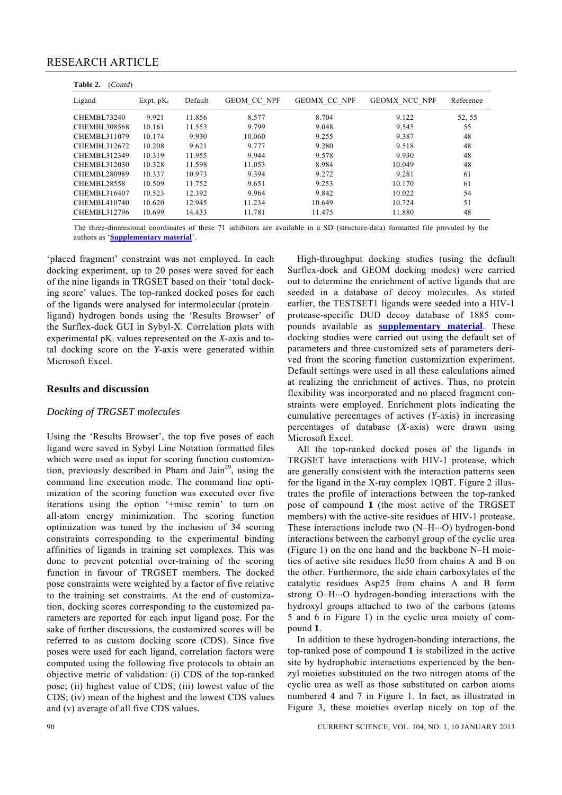| Table 2.<br>(Cont d) |              |         |                    |                     |                      |           |  |  |  |  |  |
|----------------------|--------------|---------|--------------------|---------------------|----------------------|-----------|--|--|--|--|--|
| Ligand               | Expt. $pK_i$ | Default | <b>GEOM CC NPF</b> | <b>GEOMX CC NPF</b> | <b>GEOMX NCC NPF</b> | Reference |  |  |  |  |  |
| <b>CHEMBL73240</b>   | 9.921        | 11.856  | 8.577              | 8.704               | 9.122                | 52, 55    |  |  |  |  |  |
| CHEMBL308568         | 10.161       | 11.553  | 9.799              | 9.048               | 9.545                | 55        |  |  |  |  |  |
| CHEMBL311079         | 10.174       | 9.930   | 10.060             | 9.255               | 9.387                | 48        |  |  |  |  |  |
| CHEMBL312672         | 10.208       | 9.621   | 9.777              | 9.280               | 9.518                | 48        |  |  |  |  |  |
| CHEMBL312349         | 10.319       | 11.955  | 9.944              | 9.578               | 9.930                | 48        |  |  |  |  |  |
| CHEMBL312030         | 10.328       | 11.598  | 11.053             | 8.984               | 10.049               | 48        |  |  |  |  |  |
| CHEMBL280989         | 10.337       | 10.973  | 9.394              | 9.272               | 9.281                | 61        |  |  |  |  |  |
| CHEMBL28558          | 10.509       | 11.752  | 9.651              | 9.253               | 10.170               | 61        |  |  |  |  |  |
| CHEMBL316407         | 10.523       | 12.392  | 9.964              | 9.842               | 10.022               | 54        |  |  |  |  |  |
| CHEMBL410740         | 10.620       | 12.945  | 11.234             | 10.649              | 10.724               | 51        |  |  |  |  |  |
| <b>CHEMBL312796</b>  | 10.699       | 14.433  | 11.781             | 11.475              | 11.880               | 48        |  |  |  |  |  |

The three-dimensional coordinates of these 71 inhibitors are available in a SD (structure-data) formatted file provided by the authors as '**Supplementary material**'.

'placed fragment' constraint was not employed. In each docking experiment, up to 20 poses were saved for each of the nine ligands in TRGSET based on their 'total docking score' values. The top-ranked docked poses for each of the ligands were analysed for intermolecular (protein– ligand) hydrogen bonds using the 'Results Browser' of the Surflex-dock GUI in Sybyl-X. Correlation plots with experimental pK<sub>i</sub> values represented on the *X*-axis and total docking score on the *Y*-axis were generated within Microsoft Excel.

### **Results and discussion**

#### *Docking of TRGSET molecules*

Using the 'Results Browser', the top five poses of each ligand were saved in Sybyl Line Notation formatted files which were used as input for scoring function customization, previously described in Pham and  $Jain^{29}$ , using the command line execution mode. The command line optimization of the scoring function was executed over five iterations using the option '+misc\_remin' to turn on all-atom energy minimization. The scoring function optimization was tuned by the inclusion of 34 scoring constraints corresponding to the experimental binding affinities of ligands in training set complexes. This was done to prevent potential over-training of the scoring function in favour of TRGSET members. The docked pose constraints were weighted by a factor of five relative to the training set constraints. At the end of customization, docking scores corresponding to the customized parameters are reported for each input ligand pose. For the sake of further discussions, the customized scores will be referred to as custom docking score (CDS). Since five poses were used for each ligand, correlation factors were computed using the following five protocols to obtain an objective metric of validation: (i) CDS of the top-ranked pose; (ii) highest value of CDS; (iii) lowest value of the CDS; (iv) mean of the highest and the lowest CDS values and (v) average of all five CDS values.

 High-throughput docking studies (using the default Surflex-dock and GEOM docking modes) were carried out to determine the enrichment of active ligands that are seeded in a database of decoy molecules. As stated earlier, the TESTSET1 ligands were seeded into a HIV-1 protease-specific DUD decoy database of 1885 compounds available as **supplementary material**. These docking studies were carried out using the default set of parameters and three customized sets of parameters derived from the scoring function customization experiment. Default settings were used in all these calculations aimed at realizing the enrichment of actives. Thus, no protein flexibility was incorporated and no placed fragment constraints were employed. Enrichment plots indicating the cumulative percentages of actives (*Y*-axis) in increasing percentages of database (*X*-axis) were drawn using Microsoft Excel.

 All the top-ranked docked poses of the ligands in TRGSET have interactions with HIV-1 protease, which are generally consistent with the interaction patterns seen for the ligand in the X-ray complex 1QBT. Figure 2 illustrates the profile of interactions between the top-ranked pose of compound **1** (the most active of the TRGSET members) with the active-site residues of HIV-1 protease. These interactions include two (N–H⋅⋅⋅O) hydrogen-bond interactions between the carbonyl group of the cyclic urea (Figure 1) on the one hand and the backbone N–H moieties of active site residues Ile50 from chains A and B on the other. Furthermore, the side chain carboxylates of the catalytic residues Asp25 from chains A and B form strong O–H⋅⋅⋅O hydrogen-bonding interactions with the hydroxyl groups attached to two of the carbons (atoms 5 and 6 in Figure 1) in the cyclic urea moiety of compound **1**.

 In addition to these hydrogen-bonding interactions, the top-ranked pose of compound **1** is stabilized in the active site by hydrophobic interactions experienced by the benzyl moieties substituted on the two nitrogen atoms of the cyclic urea as well as those substituted on carbon atoms numbered 4 and 7 in Figure 1. In fact, as illustrated in Figure 3, these moieties overlap nicely on top of the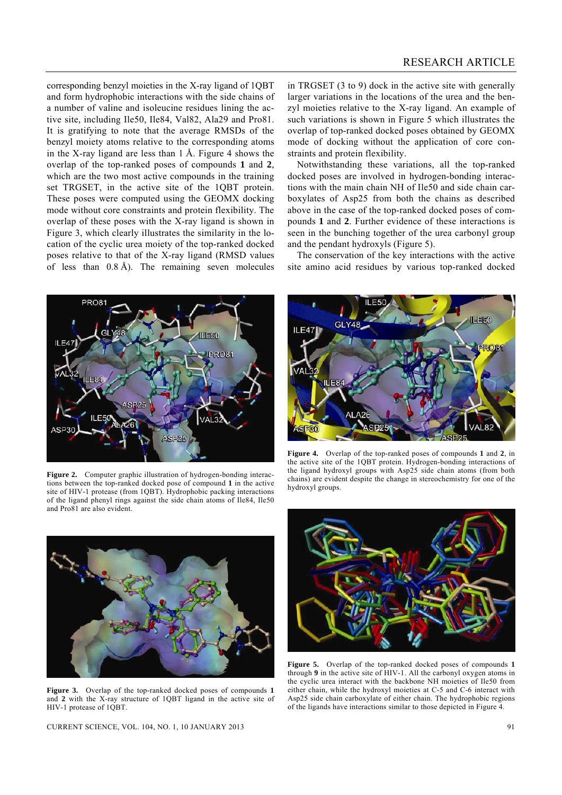corresponding benzyl moieties in the X-ray ligand of 1QBT and form hydrophobic interactions with the side chains of a number of valine and isoleucine residues lining the active site, including Ile50, Ile84, Val82, Ala29 and Pro81. It is gratifying to note that the average RMSDs of the benzyl moiety atoms relative to the corresponding atoms in the X-ray ligand are less than 1 Å. Figure 4 shows the overlap of the top-ranked poses of compounds **1** and **2**, which are the two most active compounds in the training set TRGSET, in the active site of the 1QBT protein. These poses were computed using the GEOMX docking mode without core constraints and protein flexibility. The overlap of these poses with the X-ray ligand is shown in Figure 3, which clearly illustrates the similarity in the location of the cyclic urea moiety of the top-ranked docked poses relative to that of the X-ray ligand (RMSD values of less than  $0.8 \text{ Å}$ ). The remaining seven molecules

in TRGSET (3 to 9) dock in the active site with generally larger variations in the locations of the urea and the benzyl moieties relative to the X-ray ligand. An example of such variations is shown in Figure 5 which illustrates the overlap of top-ranked docked poses obtained by GEOMX mode of docking without the application of core constraints and protein flexibility.

 Notwithstanding these variations, all the top-ranked docked poses are involved in hydrogen-bonding interactions with the main chain NH of Ile50 and side chain carboxylates of Asp25 from both the chains as described above in the case of the top-ranked docked poses of compounds **1** and **2**. Further evidence of these interactions is seen in the bunching together of the urea carbonyl group and the pendant hydroxyls (Figure 5).

 The conservation of the key interactions with the active site amino acid residues by various top-ranked docked



**Figure 2.** Computer graphic illustration of hydrogen-bonding interactions between the top-ranked docked pose of compound **1** in the active site of HIV-1 protease (from 1QBT). Hydrophobic packing interactions of the ligand phenyl rings against the side chain atoms of Ile84, Ile50 and Pro81 are also evident.



**Figure 4.** Overlap of the top-ranked poses of compounds **1** and **2**, in the active site of the 1QBT protein. Hydrogen-bonding interactions of the ligand hydroxyl groups with Asp25 side chain atoms (from both chains) are evident despite the change in stereochemistry for one of the hydroxyl groups.



**Figure 3.** Overlap of the top-ranked docked poses of compounds **1** and **2** with the X-ray structure of 1QBT ligand in the active site of HIV-1 protease of 1QBT.

CURRENT SCIENCE, VOL. 104, NO. 1, 10 JANUARY 2013 91



**Figure 5.** Overlap of the top-ranked docked poses of compounds **1**  through **9** in the active site of HIV-1. All the carbonyl oxygen atoms in the cyclic urea interact with the backbone NH moieties of Ile50 from either chain, while the hydroxyl moieties at C-5 and C-6 interact with Asp25 side chain carboxylate of either chain. The hydrophobic regions of the ligands have interactions similar to those depicted in Figure 4.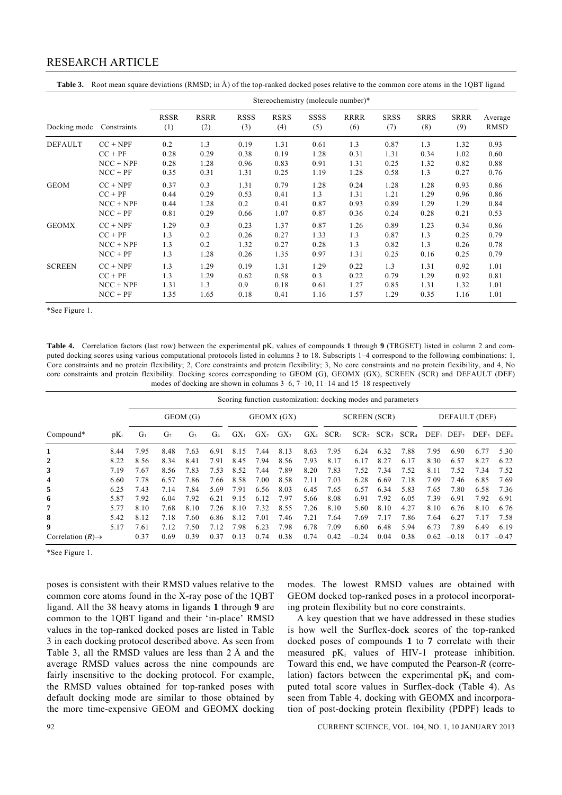|                |             | Stereochemistry (molecule number)* |                    |                    |                    |             |                    |                    |                    |                    |                        |  |
|----------------|-------------|------------------------------------|--------------------|--------------------|--------------------|-------------|--------------------|--------------------|--------------------|--------------------|------------------------|--|
| Docking mode   | Constraints | <b>RSSR</b><br>(1)                 | <b>RSRR</b><br>(2) | <b>RSSS</b><br>(3) | <b>RSRS</b><br>(4) | SSSS<br>(5) | <b>RRRR</b><br>(6) | <b>SRSS</b><br>(7) | <b>SRRS</b><br>(8) | <b>SRRR</b><br>(9) | Average<br><b>RMSD</b> |  |
| <b>DEFAULT</b> | $CC + NPF$  | 0.2                                | 1.3                | 0.19               | 1.31               | 0.61        | 1.3                | 0.87               | 1.3                | 1.32               | 0.93                   |  |
|                | $CC + PF$   | 0.28                               | 0.29               | 0.38               | 0.19               | 1.28        | 0.31               | 1.31               | 0.34               | 1.02               | 0.60                   |  |
|                | $NCC + NPF$ | 0.28                               | 1.28               | 0.96               | 0.83               | 0.91        | 1.31               | 0.25               | 1.32               | 0.82               | 0.88                   |  |
|                | $NCC + PF$  | 0.35                               | 0.31               | 1.31               | 0.25               | 1.19        | 1.28               | 0.58               | 1.3                | 0.27               | 0.76                   |  |
| <b>GEOM</b>    | $CC + NPF$  | 0.37                               | 0.3                | 1.31               | 0.79               | 1.28        | 0.24               | 1.28               | 1.28               | 0.93               | 0.86                   |  |
|                | $CC + PF$   | 0.44                               | 0.29               | 0.53               | 0.41               | 1.3         | 1.31               | 1.21               | 1.29               | 0.96               | 0.86                   |  |
|                | $NCC + NPF$ | 0.44                               | 1.28               | 0.2                | 0.41               | 0.87        | 0.93               | 0.89               | 1.29               | 1.29               | 0.84                   |  |
|                | $NCC + PF$  | 0.81                               | 0.29               | 0.66               | 1.07               | 0.87        | 0.36               | 0.24               | 0.28               | 0.21               | 0.53                   |  |
| <b>GEOMX</b>   | $CC + NPF$  | 1.29                               | 0.3                | 0.23               | 1.37               | 0.87        | 1.26               | 0.89               | 1.23               | 0.34               | 0.86                   |  |
|                | $CC + PF$   | 1.3                                | 0.2                | 0.26               | 0.27               | 1.33        | 1.3                | 0.87               | 1.3                | 0.25               | 0.79                   |  |
|                | $NCC + NPF$ | 1.3                                | 0.2                | 1.32               | 0.27               | 0.28        | 1.3                | 0.82               | 1.3                | 0.26               | 0.78                   |  |
|                | $NCC + PF$  | 1.3                                | 1.28               | 0.26               | 1.35               | 0.97        | 1.31               | 0.25               | 0.16               | 0.25               | 0.79                   |  |
| <b>SCREEN</b>  | $CC + NPF$  | 1.3                                | 1.29               | 0.19               | 1.31               | 1.29        | 0.22               | 1.3                | 1.31               | 0.92               | 1.01                   |  |
|                | $CC + PF$   | 1.3                                | 1.29               | 0.62               | 0.58               | 0.3         | 0.22               | 0.79               | 1.29               | 0.92               | 0.81                   |  |
|                | $NCC + NPF$ | 1.31                               | 1.3                | 0.9                | 0.18               | 0.61        | 1.27               | 0.85               | 1.31               | 1.32               | 1.01                   |  |
|                | $NCC + PF$  | 1.35                               | 1.65               | 0.18               | 0.41               | 1.16        | 1.57               | 1.29               | 0.35               | 1.16               | 1.01                   |  |

**Table 3.** Root mean square deviations (RMSD; in Å) of the top-ranked docked poses relative to the common core atoms in the 1QBT ligand

\*See Figure 1.

**Table 4.** Correlation factors (last row) between the experimental pK<sub>i</sub> values of compounds 1 through 9 (TRGSET) listed in column 2 and computed docking scores using various computational protocols listed in columns 3 to 18. Subscripts 1–4 correspond to the following combinations: 1, Core constraints and no protein flexibility; 2, Core constraints and protein flexibility; 3, No core constraints and no protein flexibility, and 4, No core constraints and protein flexibility. Docking scores corresponding to GEOM (G), GEOMX (GX), SCREEN (SCR) and DEFAULT (DEF) modes of docking are shown in columns 3–6, 7–10, 11–14 and 15–18 respectively

|                               |        | Scoring function customization: docking modes and parameters |                |                |                |          |                     |          |          |                  |               |               |         |         |         |                          |         |
|-------------------------------|--------|--------------------------------------------------------------|----------------|----------------|----------------|----------|---------------------|----------|----------|------------------|---------------|---------------|---------|---------|---------|--------------------------|---------|
|                               |        |                                                              | GEOM (G)       | GEOMX (GX)     |                |          | <b>SCREEN</b> (SCR) |          |          |                  | DEFAULT (DEF) |               |         |         |         |                          |         |
| $Compound*$                   | $pK_i$ | Gı                                                           | G <sub>2</sub> | G <sub>3</sub> | G <sub>4</sub> | $GX_{1}$ | $GX_{2}$            | $GX_{3}$ | $GX_{4}$ | SCR <sub>1</sub> |               | $SCR$ , $SCR$ | $SCR_4$ | $DEF_1$ | $DEF_2$ | $DEF_3$ DEF <sub>4</sub> |         |
| 1                             | 8.44   | 7.95                                                         | 8.48           | 7.63           | 6.91           | 8.15     | 7.44                | 8.13     | 8.63     | 7.95             | 6.24          | 6.32          | 7.88    | 7.95    | 6.90    | 6.77                     | 5.30    |
| 2                             | 8.22   | 8.56                                                         | 8.34           | 8.41           | 7.91           | 8.45     | 7.94                | 8.56     | 7.93     | 8.17             | 6.17          | 8.27          | 6.17    | 8.30    | 6.57    | 8.27                     | 6.22    |
| 3                             | 7.19   | 7.67                                                         | 8.56           | 7.83           | 7.53           | 8.52     | 7.44                | 7.89     | 8.20     | 7.83             | 7.52          | 7.34          | 7.52    | 8.11    | 7.52    | 7.34                     | 7.52    |
| 4                             | 6.60   | 7.78                                                         | 6.57           | 7.86           | 7.66           | 8.58     | 7.00                | 8.58     | 7.11     | 7.03             | 6.28          | 6.69          | 7.18    | 7.09    | 7.46    | 6.85                     | 7.69    |
| 5                             | 6.25   | 7.43                                                         | 7.14           | 7.84           | 5.69           | 7.91     | 6.56                | 8.03     | 6.45     | 7.65             | 6.57          | 6.34          | 5.83    | 7.65    | 7.80    | 6.58                     | 7.36    |
| 6                             | 5.87   | 7.92                                                         | 6.04           | 7.92           | 6.21           | 9.15     | 6.12                | 7.97     | 5.66     | 8.08             | 6.91          | 7.92          | 6.05    | 7.39    | 6.91    | 7.92                     | 6.91    |
| 7                             | 5.77   | 8.10                                                         | 7.68           | 8.10           | 7.26           | 8.10     | 7.32                | 8.55     | 7.26     | 8.10             | 5.60          | 8.10          | 4.27    | 8.10    | 6.76    | 8.10                     | 6.76    |
| 8                             | 5.42   | 8.12                                                         | 7.18           | 7.60           | 6.86           | 8.12     | 7.01                | 7.46     | 7.21     | 7.64             | 7.69          | 7.17          | 7.86    | 7.64    | 6.27    | 7.17                     | 7.58    |
| 9                             | 5.17   | 7.61                                                         | 7.12           | 7.50           | 7.12           | 7.98     | 6.23                | 7.98     | 6.78     | 7.09             | 6.60          | 6.48          | 5.94    | 6.73    | 7.89    | 6.49                     | 6.19    |
| Correlation $(R) \rightarrow$ |        | 0.37                                                         | 0.69           | 0.39           | 0.37           | 0.13     | 0.74                | 0.38     | 0.74     | 0.42             | $-0.24$       | 0.04          | 0.38    | 0.62    | $-0.18$ | 0.17                     | $-0.47$ |

\*See Figure 1.

poses is consistent with their RMSD values relative to the common core atoms found in the X-ray pose of the 1QBT ligand. All the 38 heavy atoms in ligands **1** through **9** are common to the 1QBT ligand and their 'in-place' RMSD values in the top-ranked docked poses are listed in Table 3 in each docking protocol described above. As seen from Table 3, all the RMSD values are less than 2 Å and the average RMSD values across the nine compounds are fairly insensitive to the docking protocol. For example, the RMSD values obtained for top-ranked poses with default docking mode are similar to those obtained by the more time-expensive GEOM and GEOMX docking modes. The lowest RMSD values are obtained with GEOM docked top-ranked poses in a protocol incorporating protein flexibility but no core constraints.

 A key question that we have addressed in these studies is how well the Surflex-dock scores of the top-ranked docked poses of compounds **1** to **7** correlate with their measured  $pK_i$  values of HIV-1 protease inhibition. Toward this end, we have computed the Pearson-*R* (correlation) factors between the experimental  $pK_i$  and computed total score values in Surflex-dock (Table 4). As seen from Table 4, docking with GEOMX and incorporation of post-docking protein flexibility (PDPF) leads to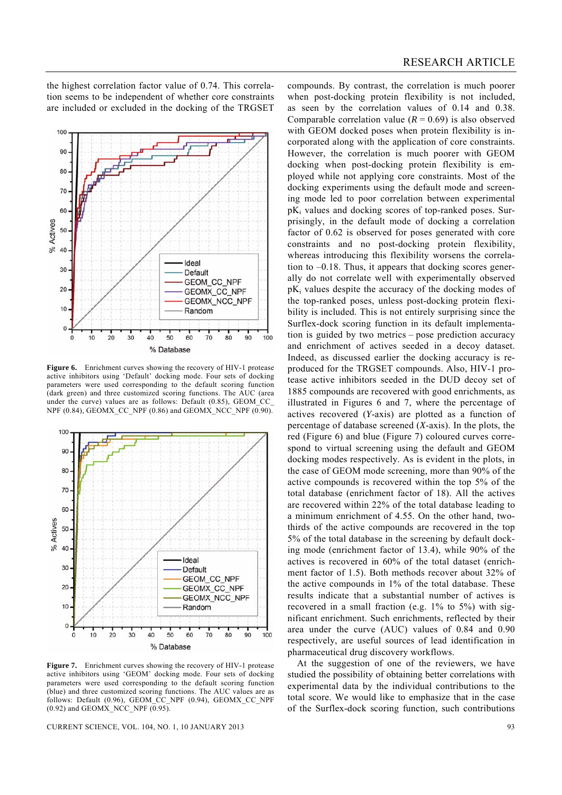the highest correlation factor value of 0.74. This correlation seems to be independent of whether core constraints are included or excluded in the docking of the TRGSET



Figure 6. Enrichment curves showing the recovery of HIV-1 protease active inhibitors using 'Default' docking mode. Four sets of docking parameters were used corresponding to the default scoring function (dark green) and three customized scoring functions. The AUC (area under the curve) values are as follows: Default (0.85), GEOM CC NPF (0.84), GEOMX CC\_NPF (0.86) and GEOMX\_NCC\_NPF  $(0.90)$ .



Figure 7. Enrichment curves showing the recovery of HIV-1 protease active inhibitors using 'GEOM' docking mode. Four sets of docking parameters were used corresponding to the default scoring function (blue) and three customized scoring functions. The AUC values are as follows: Default (0.96), GEOM\_CC\_NPF (0.94), GEOMX\_CC\_NPF  $(0.92)$  and GEOMX\_NCC\_NPF  $(0.95)$ .

CURRENT SCIENCE, VOL. 104, NO. 1, 10 JANUARY 2013 93

compounds. By contrast, the correlation is much poorer when post-docking protein flexibility is not included, as seen by the correlation values of 0.14 and 0.38. Comparable correlation value  $(R = 0.69)$  is also observed with GEOM docked poses when protein flexibility is incorporated along with the application of core constraints. However, the correlation is much poorer with GEOM docking when post-docking protein flexibility is employed while not applying core constraints. Most of the docking experiments using the default mode and screening mode led to poor correlation between experimental  $pK_i$  values and docking scores of top-ranked poses. Surprisingly, in the default mode of docking a correlation factor of 0.62 is observed for poses generated with core constraints and no post-docking protein flexibility, whereas introducing this flexibility worsens the correlation to –0.18. Thus, it appears that docking scores generally do not correlate well with experimentally observed  $pK_i$  values despite the accuracy of the docking modes of the top-ranked poses, unless post-docking protein flexibility is included. This is not entirely surprising since the Surflex-dock scoring function in its default implementation is guided by two metrics – pose prediction accuracy and enrichment of actives seeded in a decoy dataset. Indeed, as discussed earlier the docking accuracy is reproduced for the TRGSET compounds. Also, HIV-1 protease active inhibitors seeded in the DUD decoy set of 1885 compounds are recovered with good enrichments, as illustrated in Figures 6 and 7, where the percentage of actives recovered (*Y*-axis) are plotted as a function of percentage of database screened (*X*-axis). In the plots, the red (Figure 6) and blue (Figure 7) coloured curves correspond to virtual screening using the default and GEOM docking modes respectively. As is evident in the plots, in the case of GEOM mode screening, more than 90% of the active compounds is recovered within the top 5% of the total database (enrichment factor of 18). All the actives are recovered within 22% of the total database leading to a minimum enrichment of 4.55. On the other hand, twothirds of the active compounds are recovered in the top 5% of the total database in the screening by default docking mode (enrichment factor of 13.4), while 90% of the actives is recovered in 60% of the total dataset (enrichment factor of 1.5). Both methods recover about 32% of the active compounds in 1% of the total database. These results indicate that a substantial number of actives is recovered in a small fraction (e.g. 1% to 5%) with significant enrichment. Such enrichments, reflected by their area under the curve (AUC) values of 0.84 and 0.90 respectively, are useful sources of lead identification in pharmaceutical drug discovery workflows.

 At the suggestion of one of the reviewers, we have studied the possibility of obtaining better correlations with experimental data by the individual contributions to the total score. We would like to emphasize that in the case of the Surflex-dock scoring function, such contributions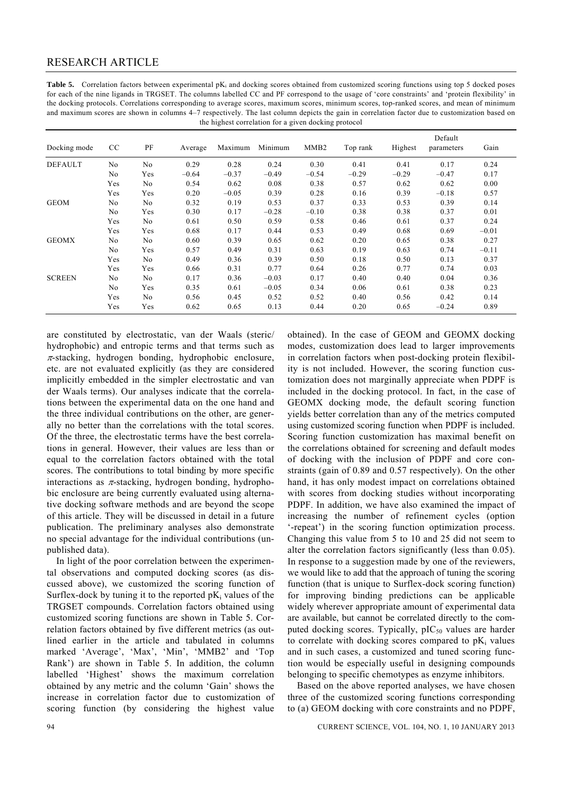Table 5. Correlation factors between experimental pK<sub>i</sub> and docking scores obtained from customized scoring functions using top 5 docked poses for each of the nine ligands in TRGSET. The columns labelled CC and PF correspond to the usage of 'core constraints' and 'protein flexibility' in the docking protocols. Correlations corresponding to average scores, maximum scores, minimum scores, top-ranked scores, and mean of minimum and maximum scores are shown in columns 4–7 respectively. The last column depicts the gain in correlation factor due to customization based on the highest correlation for a given docking protocol

| Docking mode   | CC             | PF             | Average | Maximum | Minimum | MMB <sub>2</sub> | Top rank | Highest | Default<br>parameters | Gain    |
|----------------|----------------|----------------|---------|---------|---------|------------------|----------|---------|-----------------------|---------|
| <b>DEFAULT</b> | N <sub>0</sub> | No             | 0.29    | 0.28    | 0.24    | 0.30             | 0.41     | 0.41    | 0.17                  | 0.24    |
|                | N <sub>0</sub> | Yes            | $-0.64$ | $-0.37$ | $-0.49$ | $-0.54$          | $-0.29$  | $-0.29$ | $-0.47$               | 0.17    |
|                | Yes            | No             | 0.54    | 0.62    | 0.08    | 0.38             | 0.57     | 0.62    | 0.62                  | 0.00    |
|                | Yes            | Yes            | 0.20    | $-0.05$ | 0.39    | 0.28             | 0.16     | 0.39    | $-0.18$               | 0.57    |
| <b>GEOM</b>    | No             | No             | 0.32    | 0.19    | 0.53    | 0.37             | 0.33     | 0.53    | 0.39                  | 0.14    |
|                | N <sub>0</sub> | Yes            | 0.30    | 0.17    | $-0.28$ | $-0.10$          | 0.38     | 0.38    | 0.37                  | 0.01    |
|                | Yes            | No             | 0.61    | 0.50    | 0.59    | 0.58             | 0.46     | 0.61    | 0.37                  | 0.24    |
|                | Yes            | Yes            | 0.68    | 0.17    | 0.44    | 0.53             | 0.49     | 0.68    | 0.69                  | $-0.01$ |
| <b>GEOMX</b>   | No             | N <sub>0</sub> | 0.60    | 0.39    | 0.65    | 0.62             | 0.20     | 0.65    | 0.38                  | 0.27    |
|                | No             | Yes            | 0.57    | 0.49    | 0.31    | 0.63             | 0.19     | 0.63    | 0.74                  | $-0.11$ |
|                | Yes            | N <sub>0</sub> | 0.49    | 0.36    | 0.39    | 0.50             | 0.18     | 0.50    | 0.13                  | 0.37    |
|                | Yes            | Yes            | 0.66    | 0.31    | 0.77    | 0.64             | 0.26     | 0.77    | 0.74                  | 0.03    |
| <b>SCREEN</b>  | No             | No             | 0.17    | 0.36    | $-0.03$ | 0.17             | 0.40     | 0.40    | 0.04                  | 0.36    |
|                | No             | Yes            | 0.35    | 0.61    | $-0.05$ | 0.34             | 0.06     | 0.61    | 0.38                  | 0.23    |
|                | Yes            | No             | 0.56    | 0.45    | 0.52    | 0.52             | 0.40     | 0.56    | 0.42                  | 0.14    |
|                | Yes            | Yes            | 0.62    | 0.65    | 0.13    | 0.44             | 0.20     | 0.65    | $-0.24$               | 0.89    |

are constituted by electrostatic, van der Waals (steric/ hydrophobic) and entropic terms and that terms such as  $\pi$ -stacking, hydrogen bonding, hydrophobic enclosure, etc. are not evaluated explicitly (as they are considered implicitly embedded in the simpler electrostatic and van der Waals terms). Our analyses indicate that the correlations between the experimental data on the one hand and the three individual contributions on the other, are generally no better than the correlations with the total scores. Of the three, the electrostatic terms have the best correlations in general. However, their values are less than or equal to the correlation factors obtained with the total scores. The contributions to total binding by more specific interactions as  $\pi$ -stacking, hydrogen bonding, hydrophobic enclosure are being currently evaluated using alternative docking software methods and are beyond the scope of this article. They will be discussed in detail in a future publication. The preliminary analyses also demonstrate no special advantage for the individual contributions (unpublished data).

 In light of the poor correlation between the experimental observations and computed docking scores (as discussed above), we customized the scoring function of Surflex-dock by tuning it to the reported  $pK_i$  values of the TRGSET compounds. Correlation factors obtained using customized scoring functions are shown in Table 5. Correlation factors obtained by five different metrics (as outlined earlier in the article and tabulated in columns marked 'Average', 'Max', 'Min', 'MMB2' and 'Top Rank') are shown in Table 5. In addition, the column labelled 'Highest' shows the maximum correlation obtained by any metric and the column 'Gain' shows the increase in correlation factor due to customization of scoring function (by considering the highest value obtained). In the case of GEOM and GEOMX docking modes, customization does lead to larger improvements in correlation factors when post-docking protein flexibility is not included. However, the scoring function customization does not marginally appreciate when PDPF is included in the docking protocol. In fact, in the case of GEOMX docking mode, the default scoring function yields better correlation than any of the metrics computed using customized scoring function when PDPF is included. Scoring function customization has maximal benefit on the correlations obtained for screening and default modes of docking with the inclusion of PDPF and core constraints (gain of 0.89 and 0.57 respectively). On the other hand, it has only modest impact on correlations obtained with scores from docking studies without incorporating PDPF. In addition, we have also examined the impact of increasing the number of refinement cycles (option '-repeat') in the scoring function optimization process. Changing this value from 5 to 10 and 25 did not seem to alter the correlation factors significantly (less than 0.05). In response to a suggestion made by one of the reviewers, we would like to add that the approach of tuning the scoring function (that is unique to Surflex-dock scoring function) for improving binding predictions can be applicable widely wherever appropriate amount of experimental data are available, but cannot be correlated directly to the computed docking scores. Typically,  $p_{1}C_{50}$  values are harder to correlate with docking scores compared to  $pK_i$  values and in such cases, a customized and tuned scoring function would be especially useful in designing compounds belonging to specific chemotypes as enzyme inhibitors.

 Based on the above reported analyses, we have chosen three of the customized scoring functions corresponding to (a) GEOM docking with core constraints and no PDPF,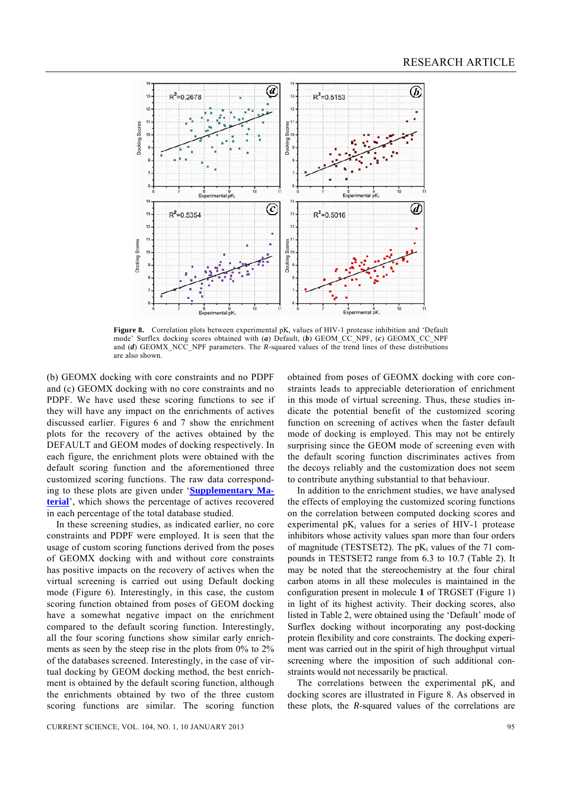

**Figure 8.** Correlation plots between experimental pK<sub>i</sub> values of HIV-1 protease inhibition and 'Default mode' Surflex docking scores obtained with (*a*) Default, (*b*) GEOM\_CC\_NPF, (*c*) GEOMX\_CC\_NPF and (*d*) GEOMX NCC NPF parameters. The *R*-squared values of the trend lines of these distributions are also shown.

(b) GEOMX docking with core constraints and no PDPF and (c) GEOMX docking with no core constraints and no PDPF. We have used these scoring functions to see if they will have any impact on the enrichments of actives discussed earlier. Figures 6 and 7 show the enrichment plots for the recovery of the actives obtained by the DEFAULT and GEOM modes of docking respectively. In each figure, the enrichment plots were obtained with the default scoring function and the aforementioned three customized scoring functions. The raw data corresponding to these plots are given under '**Supplementary Material**', which shows the percentage of actives recovered in each percentage of the total database studied.

 In these screening studies, as indicated earlier, no core constraints and PDPF were employed. It is seen that the usage of custom scoring functions derived from the poses of GEOMX docking with and without core constraints has positive impacts on the recovery of actives when the virtual screening is carried out using Default docking mode (Figure 6). Interestingly, in this case, the custom scoring function obtained from poses of GEOM docking have a somewhat negative impact on the enrichment compared to the default scoring function. Interestingly, all the four scoring functions show similar early enrichments as seen by the steep rise in the plots from 0% to 2% of the databases screened. Interestingly, in the case of virtual docking by GEOM docking method, the best enrichment is obtained by the default scoring function, although the enrichments obtained by two of the three custom scoring functions are similar. The scoring function obtained from poses of GEOMX docking with core constraints leads to appreciable deterioration of enrichment in this mode of virtual screening. Thus, these studies indicate the potential benefit of the customized scoring function on screening of actives when the faster default mode of docking is employed. This may not be entirely surprising since the GEOM mode of screening even with the default scoring function discriminates actives from the decoys reliably and the customization does not seem to contribute anything substantial to that behaviour.

 In addition to the enrichment studies, we have analysed the effects of employing the customized scoring functions on the correlation between computed docking scores and experimental pK<sub>i</sub> values for a series of HIV-1 protease inhibitors whose activity values span more than four orders of magnitude (TESTSET2). The  $pK_i$  values of the 71 compounds in TESTSET2 range from 6.3 to 10.7 (Table 2). It may be noted that the stereochemistry at the four chiral carbon atoms in all these molecules is maintained in the configuration present in molecule **1** of TRGSET (Figure 1) in light of its highest activity. Their docking scores, also listed in Table 2, were obtained using the 'Default' mode of Surflex docking without incorporating any post-docking protein flexibility and core constraints. The docking experiment was carried out in the spirit of high throughput virtual screening where the imposition of such additional constraints would not necessarily be practical.

The correlations between the experimental  $pK_i$  and docking scores are illustrated in Figure 8. As observed in these plots, the *R*-squared values of the correlations are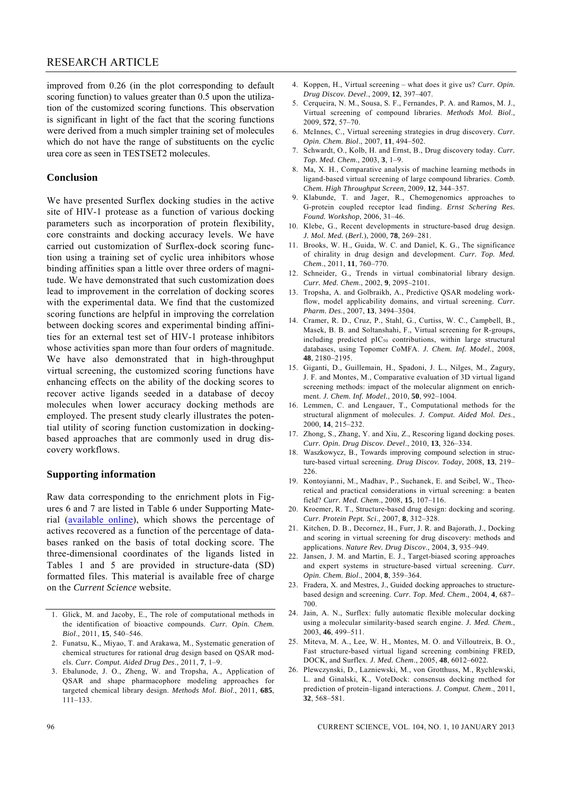improved from 0.26 (in the plot corresponding to default scoring function) to values greater than 0.5 upon the utilization of the customized scoring functions. This observation is significant in light of the fact that the scoring functions were derived from a much simpler training set of molecules which do not have the range of substituents on the cyclic urea core as seen in TESTSET2 molecules.

#### **Conclusion**

We have presented Surflex docking studies in the active site of HIV-1 protease as a function of various docking parameters such as incorporation of protein flexibility, core constraints and docking accuracy levels. We have carried out customization of Surflex-dock scoring function using a training set of cyclic urea inhibitors whose binding affinities span a little over three orders of magnitude. We have demonstrated that such customization does lead to improvement in the correlation of docking scores with the experimental data. We find that the customized scoring functions are helpful in improving the correlation between docking scores and experimental binding affinities for an external test set of HIV-1 protease inhibitors whose activities span more than four orders of magnitude. We have also demonstrated that in high-throughput virtual screening, the customized scoring functions have enhancing effects on the ability of the docking scores to recover active ligands seeded in a database of decoy molecules when lower accuracy docking methods are employed. The present study clearly illustrates the potential utility of scoring function customization in dockingbased approaches that are commonly used in drug discovery workflows.

#### **Supporting information**

Raw data corresponding to the enrichment plots in Figures 6 and 7 are listed in Table 6 under Supporting Material (available online), which shows the percentage of actives recovered as a function of the percentage of databases ranked on the basis of total docking score. The three-dimensional coordinates of the ligands listed in Tables 1 and 5 are provided in structure-data (SD) formatted files. This material is available free of charge on the *Current Science* website.

- 1. Glick, M. and Jacoby, E., The role of computational methods in the identification of bioactive compounds. *Curr. Opin. Chem. Biol*., 2011, **15**, 540–546.
- 2. Funatsu, K., Miyao, T. and Arakawa, M., Systematic generation of chemical structures for rational drug design based on QSAR models. *Curr. Comput. Aided Drug Des*., 2011, **7**, 1–9.
- 3. Ebalunode, J. O., Zheng, W. and Tropsha, A., Application of QSAR and shape pharmacophore modeling approaches for targeted chemical library design. *Methods Mol. Biol*., 2011, **685**, 111–133.
- 4. Koppen, H., Virtual screening what does it give us? *Curr. Opin. Drug Discov. Devel*., 2009, **12**, 397–407.
- 5. Cerqueira, N. M., Sousa, S. F., Fernandes, P. A. and Ramos, M. J., Virtual screening of compound libraries. *Methods Mol. Biol*., 2009, **572**, 57–70.
- 6. McInnes, C., Virtual screening strategies in drug discovery. *Curr. Opin. Chem. Biol*., 2007, **11**, 494–502.
- 7. Schwardt, O., Kolb, H. and Ernst, B., Drug discovery today. *Curr. Top. Med. Chem*., 2003, **3**, 1–9.
- 8. Ma, X. H., Comparative analysis of machine learning methods in ligand-based virtual screening of large compound libraries. *Comb. Chem. High Throughput Screen*, 2009, **12**, 344–357.
- 9. Klabunde, T. and Jager, R., Chemogenomics approaches to G-protein coupled receptor lead finding. *Ernst Schering Res. Found. Workshop*, 2006, 31–46.
- 10. Klebe, G., Recent developments in structure-based drug design. *J. Mol. Med.* (*Berl.*), 2000, **78**, 269–281.
- 11. Brooks, W. H., Guida, W. C. and Daniel, K. G., The significance of chirality in drug design and development. *Curr. Top. Med. Chem*., 2011, **11**, 760–770.
- 12. Schneider, G., Trends in virtual combinatorial library design. *Curr. Med. Chem*., 2002, **9**, 2095–2101.
- 13. Tropsha, A. and Golbraikh, A., Predictive QSAR modeling workflow, model applicability domains, and virtual screening. *Curr. Pharm. Des*., 2007, **13**, 3494–3504.
- 14. Cramer, R. D., Cruz, P., Stahl, G., Curtiss, W. C., Campbell, B., Masek, B. B. and Soltanshahi, F., Virtual screening for R-groups, including predicted  $pIC_{50}$  contributions, within large structural databases, using Topomer CoMFA. *J. Chem. Inf. Model.*, 2008, **48**, 2180–2195.
- 15. Giganti, D., Guillemain, H., Spadoni, J. L., Nilges, M., Zagury, J. F. and Montes, M., Comparative evaluation of 3D virtual ligand screening methods: impact of the molecular alignment on enrichment. *J. Chem. Inf. Model.*, 2010, **50**, 992–1004.
- 16. Lemmen, C. and Lengauer, T., Computational methods for the structural alignment of molecules. *J. Comput. Aided Mol. Des*., 2000, **14**, 215–232.
- 17. Zhong, S., Zhang, Y. and Xiu, Z., Rescoring ligand docking poses. *Curr. Opin. Drug Discov. Devel*., 2010, **13**, 326–334.
- 18. Waszkowycz, B., Towards improving compound selection in structure-based virtual screening. *Drug Discov. Today*, 2008, **13**, 219– 226.
- 19. Kontoyianni, M., Madhav, P., Suchanek, E. and Seibel, W., Theoretical and practical considerations in virtual screening: a beaten field? *Curr. Med. Chem*., 2008, **15**, 107–116.
- 20. Kroemer, R. T., Structure-based drug design: docking and scoring. *Curr. Protein Pept. Sci*., 2007, **8**, 312–328.
- 21. Kitchen, D. B., Decornez, H., Furr, J. R. and Bajorath, J., Docking and scoring in virtual screening for drug discovery: methods and applications. *Nature Rev. Drug Discov*., 2004, **3**, 935–949.
- 22. Jansen, J. M. and Martin, E. J., Target-biased scoring approaches and expert systems in structure-based virtual screening. *Curr. Opin. Chem. Biol*., 2004, **8**, 359–364.
- 23. Fradera, X. and Mestres, J., Guided docking approaches to structurebased design and screening. *Curr. Top. Med. Chem*., 2004, **4**, 687– 700.
- 24. Jain, A. N., Surflex: fully automatic flexible molecular docking using a molecular similarity-based search engine. *J. Med. Chem.*, 2003, **46**, 499–511.
- 25. Miteva, M. A., Lee, W. H., Montes, M. O. and Villoutreix, B. O., Fast structure-based virtual ligand screening combining FRED, DOCK, and Surflex. *J. Med. Chem*., 2005, **48**, 6012–6022.
- 26. Plewczynski, D., Lazniewski, M., von Grotthuss, M., Rychlewski, L. and Ginalski, K., VoteDock: consensus docking method for prediction of protein–ligand interactions. *J. Comput. Chem*., 2011, **32**, 568–581.